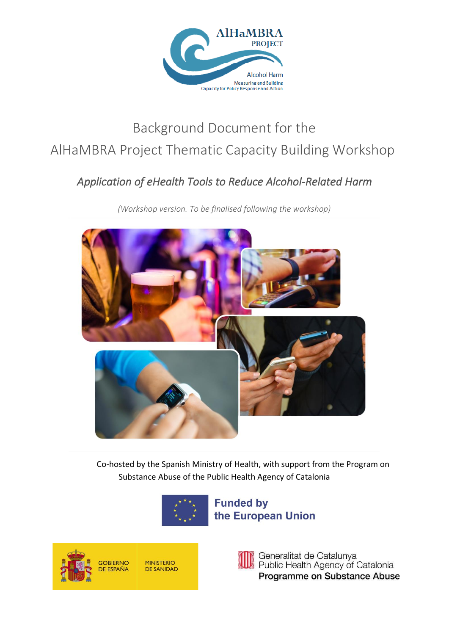

# Background Document for the AlHaMBRA Project Thematic Capacity Building Workshop

# *Application of eHealth Tools to Reduce Alcohol-Related Harm*

*(Workshop version. To be finalised following the workshop)*



Co-hosted by the Spanish Ministry of Health, with support from the Program on Substance Abuse of the Public Health Agency of Catalonia



**Funded by** the European Union





Generalitat de Catalunya Public Health Agency of Catalonia Programme on Substance Abuse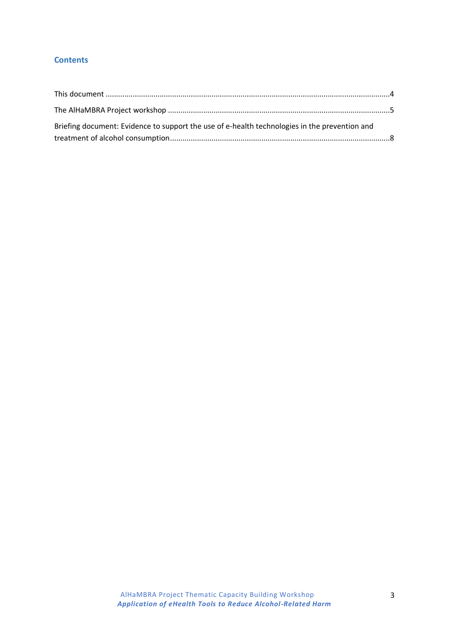# **Contents**

| Briefing document: Evidence to support the use of e-health technologies in the prevention and |  |
|-----------------------------------------------------------------------------------------------|--|
|                                                                                               |  |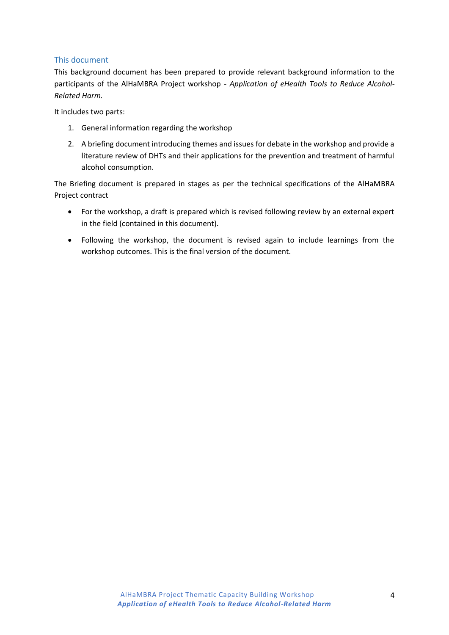## <span id="page-3-0"></span>This document

This background document has been prepared to provide relevant background information to the participants of the AlHaMBRA Project workshop - *Application of eHealth Tools to Reduce Alcohol-Related Harm.*

It includes two parts:

- 1. General information regarding the workshop
- 2. A briefing document introducing themes and issues for debate in the workshop and provide a literature review of DHTs and their applications for the prevention and treatment of harmful alcohol consumption.

The Briefing document is prepared in stages as per the technical specifications of the AlHaMBRA Project contract

- For the workshop, a draft is prepared which is revised following review by an external expert in the field (contained in this document).
- Following the workshop, the document is revised again to include learnings from the workshop outcomes. This is the final version of the document.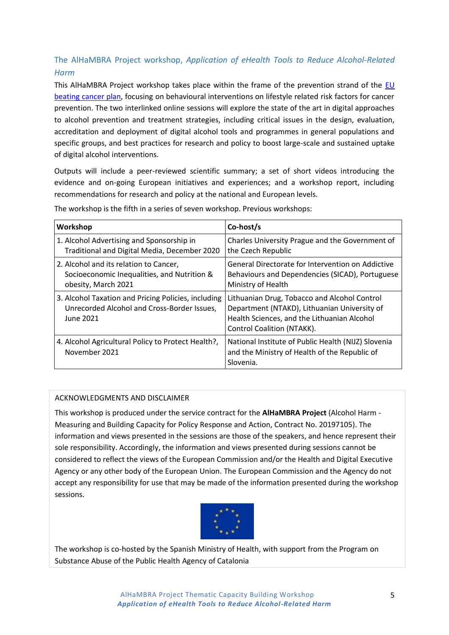# <span id="page-4-0"></span>The AlHaMBRA Project workshop, *Application of eHealth Tools to Reduce Alcohol-Related Harm*

This AlHaMBRA Project workshop takes place within the frame of the prevention strand of the  $EU$ [beating cancer plan,](https://ec.europa.eu/info/strategy/priorities-2019-2024/promoting-our-european-way-life/european-health-union/cancer-plan-europe_en) focusing on behavioural interventions on lifestyle related risk factors for cancer prevention. The two interlinked online sessions will explore the state of the art in digital approaches to alcohol prevention and treatment strategies, including critical issues in the design, evaluation, accreditation and deployment of digital alcohol tools and programmes in general populations and specific groups, and best practices for research and policy to boost large-scale and sustained uptake of digital alcohol interventions.

Outputs will include a peer-reviewed scientific summary; a set of short videos introducing the evidence and on-going European initiatives and experiences; and a workshop report, including recommendations for research and policy at the national and European levels.

| Workshop                                                                                                        | Co-host/s                                                                                                                                                                        |
|-----------------------------------------------------------------------------------------------------------------|----------------------------------------------------------------------------------------------------------------------------------------------------------------------------------|
| 1. Alcohol Advertising and Sponsorship in<br>Traditional and Digital Media, December 2020                       | Charles University Prague and the Government of<br>the Czech Republic                                                                                                            |
| 2. Alcohol and its relation to Cancer,<br>Socioeconomic Inequalities, and Nutrition &<br>obesity, March 2021    | General Directorate for Intervention on Addictive<br>Behaviours and Dependencies (SICAD), Portuguese<br>Ministry of Health                                                       |
| 3. Alcohol Taxation and Pricing Policies, including<br>Unrecorded Alcohol and Cross-Border Issues,<br>June 2021 | Lithuanian Drug, Tobacco and Alcohol Control<br>Department (NTAKD), Lithuanian University of<br>Health Sciences, and the Lithuanian Alcohol<br><b>Control Coalition (NTAKK).</b> |
| 4. Alcohol Agricultural Policy to Protect Health?,<br>November 2021                                             | National Institute of Public Health (NIJZ) Slovenia<br>and the Ministry of Health of the Republic of<br>Slovenia.                                                                |

The workshop is the fifth in a series of seven workshop. Previous workshops:

#### ACKNOWLEDGMENTS AND DISCLAIMER

This workshop is produced under the service contract for the **AlHaMBRA Project** (Alcohol Harm - Measuring and Building Capacity for Policy Response and Action, Contract No. 20197105). The information and views presented in the sessions are those of the speakers, and hence represent their sole responsibility. Accordingly, the information and views presented during sessions cannot be considered to reflect the views of the European Commission and/or the Health and Digital Executive Agency or any other body of the European Union. The European Commission and the Agency do not accept any responsibility for use that may be made of the information presented during the workshop sessions.



The workshop is co-hosted by the Spanish Ministry of Health, with support from the Program on Substance Abuse of the Public Health Agency of Catalonia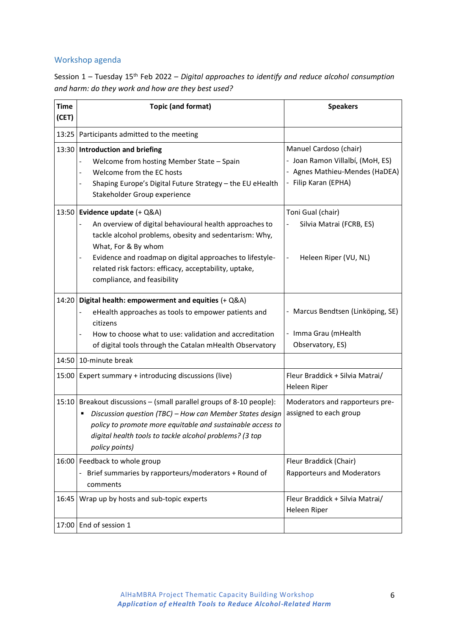# Workshop agenda

| Session $1$ – Tuesday $15th$ Feb 2022 – Digital approaches to identify and reduce alcohol consumption |
|-------------------------------------------------------------------------------------------------------|
| and harm: do they work and how are they best used?                                                    |

| <b>Time</b><br>(CET) | <b>Topic (and format)</b>                                                                                                                                                                                                                                                                                                                            | <b>Speakers</b>                                                                                                      |
|----------------------|------------------------------------------------------------------------------------------------------------------------------------------------------------------------------------------------------------------------------------------------------------------------------------------------------------------------------------------------------|----------------------------------------------------------------------------------------------------------------------|
| 13:25                | Participants admitted to the meeting                                                                                                                                                                                                                                                                                                                 |                                                                                                                      |
| 13:30                | <b>Introduction and briefing</b><br>Welcome from hosting Member State - Spain<br>Welcome from the EC hosts<br>Shaping Europe's Digital Future Strategy - the EU eHealth<br>Stakeholder Group experience                                                                                                                                              | Manuel Cardoso (chair)<br>- Joan Ramon Villalbí, (MoH, ES)<br>- Agnes Mathieu-Mendes (HaDEA)<br>- Filip Karan (EPHA) |
| 13:50                | Evidence update (+ Q&A)<br>An overview of digital behavioural health approaches to<br>tackle alcohol problems, obesity and sedentarism: Why,<br>What, For & By whom<br>Evidence and roadmap on digital approaches to lifestyle-<br>$\overline{\phantom{0}}$<br>related risk factors: efficacy, acceptability, uptake,<br>compliance, and feasibility | Toni Gual (chair)<br>Silvia Matrai (FCRB, ES)<br>Heleen Riper (VU, NL)                                               |
| 14:20                | Digital health: empowerment and equities (+ Q&A)<br>eHealth approaches as tools to empower patients and<br>citizens<br>How to choose what to use: validation and accreditation<br>of digital tools through the Catalan mHealth Observatory                                                                                                           | - Marcus Bendtsen (Linköping, SE)<br>- Imma Grau (mHealth<br>Observatory, ES)                                        |
| 14:50                | 10-minute break                                                                                                                                                                                                                                                                                                                                      |                                                                                                                      |
| 15:00                | Expert summary + introducing discussions (live)                                                                                                                                                                                                                                                                                                      | Fleur Braddick + Silvia Matrai/<br>Heleen Riper                                                                      |
| 15:10                | Breakout discussions - (small parallel groups of 8-10 people):<br>Discussion question (TBC) - How can Member States design<br>п<br>policy to promote more equitable and sustainable access to<br>digital health tools to tackle alcohol problems? (3 top<br>policy points)                                                                           | Moderators and rapporteurs pre-<br>assigned to each group                                                            |
| 16:00                | Feedback to whole group<br>- Brief summaries by rapporteurs/moderators + Round of<br>comments                                                                                                                                                                                                                                                        | Fleur Braddick (Chair)<br><b>Rapporteurs and Moderators</b>                                                          |
| 16:45                | Wrap up by hosts and sub-topic experts                                                                                                                                                                                                                                                                                                               | Fleur Braddick + Silvia Matrai/<br>Heleen Riper                                                                      |
| 17:00                | End of session 1                                                                                                                                                                                                                                                                                                                                     |                                                                                                                      |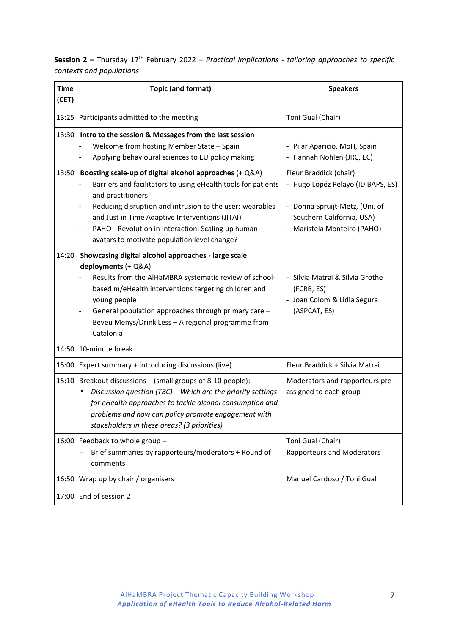|                          | <b>Session 2 –</b> Thursday 17 <sup>th</sup> February 2022 – Practical implications - tailoring approaches to specific |  |  |
|--------------------------|------------------------------------------------------------------------------------------------------------------------|--|--|
| contexts and populations |                                                                                                                        |  |  |

| <b>Time</b><br>(CET) | <b>Topic (and format)</b>                                                                                                                                                                                                                                                                                                                                          | <b>Speakers</b>                                                                                                                                           |
|----------------------|--------------------------------------------------------------------------------------------------------------------------------------------------------------------------------------------------------------------------------------------------------------------------------------------------------------------------------------------------------------------|-----------------------------------------------------------------------------------------------------------------------------------------------------------|
| 13:25                | Participants admitted to the meeting                                                                                                                                                                                                                                                                                                                               | Toni Gual (Chair)                                                                                                                                         |
| 13:30                | Intro to the session & Messages from the last session<br>Welcome from hosting Member State - Spain<br>Applying behavioural sciences to EU policy making                                                                                                                                                                                                            | - Pilar Aparicio, MoH, Spain<br>- Hannah Nohlen (JRC, EC)                                                                                                 |
| 13:50                | Boosting scale-up of digital alcohol approaches (+ Q&A)<br>Barriers and facilitators to using eHealth tools for patients<br>and practitioners<br>Reducing disruption and intrusion to the user: wearables<br>and Just in Time Adaptive Interventions (JITAI)<br>PAHO - Revolution in interaction: Scaling up human<br>avatars to motivate population level change? | Fleur Braddick (chair)<br>- Hugo Lopéz Pelayo (IDIBAPS, ES)<br>- Donna Spruijt-Metz, (Uni. of<br>Southern California, USA)<br>- Maristela Monteiro (PAHO) |
| 14:20                | Showcasing digital alcohol approaches - large scale<br>deployments (+ Q&A)<br>Results from the AlHaMBRA systematic review of school-<br>based m/eHealth interventions targeting children and<br>young people<br>General population approaches through primary care -<br>Beveu Menys/Drink Less - A regional programme from<br>Catalonia                            | - Silvia Matrai & Silvia Grothe<br>(FCRB, ES)<br>- Joan Colom & Lidia Segura<br>(ASPCAT, ES)                                                              |
| 14:50                | 10-minute break                                                                                                                                                                                                                                                                                                                                                    |                                                                                                                                                           |
| 15:00                | Expert summary + introducing discussions (live)                                                                                                                                                                                                                                                                                                                    | Fleur Braddick + Silvia Matrai                                                                                                                            |
| 15:10                | Breakout discussions - (small groups of 8-10 people):<br>Discussion question (TBC) - Which are the priority settings<br>for eHealth approaches to tackle alcohol consumption and<br>problems and how can policy promote engagement with<br>stakeholders in these areas? (3 priorities)                                                                             | Moderators and rapporteurs pre-<br>assigned to each group                                                                                                 |
| 16:00                | Feedback to whole group -<br>Brief summaries by rapporteurs/moderators + Round of<br>comments                                                                                                                                                                                                                                                                      | Toni Gual (Chair)<br>Rapporteurs and Moderators                                                                                                           |
| 16:50                | Wrap up by chair / organisers                                                                                                                                                                                                                                                                                                                                      | Manuel Cardoso / Toni Gual                                                                                                                                |
| 17:00                | End of session 2                                                                                                                                                                                                                                                                                                                                                   |                                                                                                                                                           |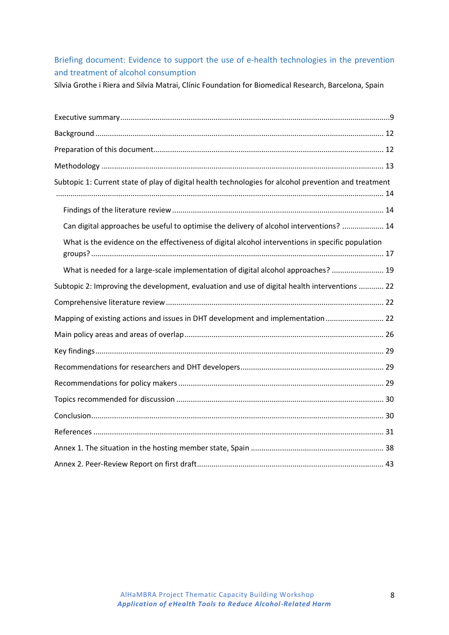# <span id="page-7-0"></span>Briefing document: Evidence to support the use of e-health technologies in the prevention and treatment of alcohol consumption

Sílvia Grothe i Riera and Silvia Matrai, Clínic Foundation for Biomedical Research, Barcelona, Spain

| Subtopic 1: Current state of play of digital health technologies for alcohol prevention and treatment |
|-------------------------------------------------------------------------------------------------------|
|                                                                                                       |
| Can digital approaches be useful to optimise the delivery of alcohol interventions?  14               |
| What is the evidence on the effectiveness of digital alcohol interventions in specific population     |
| What is needed for a large-scale implementation of digital alcohol approaches?  19                    |
| Subtopic 2: Improving the development, evaluation and use of digital health interventions  22         |
|                                                                                                       |
| Mapping of existing actions and issues in DHT development and implementation  22                      |
|                                                                                                       |
|                                                                                                       |
|                                                                                                       |
|                                                                                                       |
|                                                                                                       |
|                                                                                                       |
|                                                                                                       |
|                                                                                                       |
|                                                                                                       |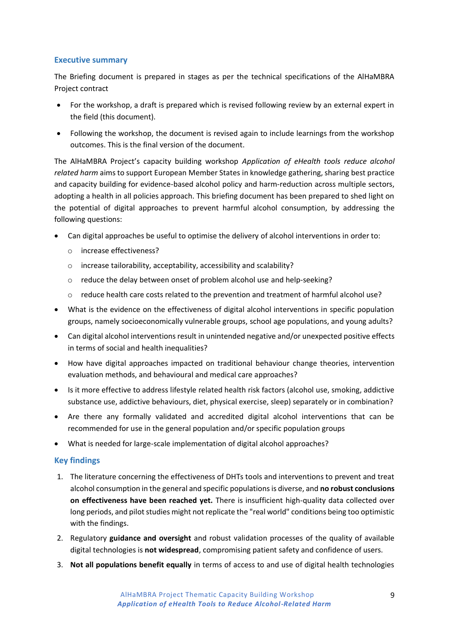#### <span id="page-8-0"></span>**Executive summary**

The Briefing document is prepared in stages as per the technical specifications of the AlHaMBRA Project contract

- For the workshop, a draft is prepared which is revised following review by an external expert in the field (this document).
- Following the workshop, the document is revised again to include learnings from the workshop outcomes. This is the final version of the document.

The AlHaMBRA Project's capacity building workshop *Application of eHealth tools reduce alcohol related harm* aims to support European Member States in knowledge gathering, sharing best practice and capacity building for evidence-based alcohol policy and harm-reduction across multiple sectors, adopting a health in all policies approach. This briefing document has been prepared to shed light on the potential of digital approaches to prevent harmful alcohol consumption, by addressing the following questions:

- Can digital approaches be useful to optimise the delivery of alcohol interventions in order to:
	- o increase effectiveness?
	- o increase tailorability, acceptability, accessibility and scalability?
	- $\circ$  reduce the delay between onset of problem alcohol use and help-seeking?
	- $\circ$  reduce health care costs related to the prevention and treatment of harmful alcohol use?
- What is the evidence on the effectiveness of digital alcohol interventions in specific population groups, namely socioeconomically vulnerable groups, school age populations, and young adults?
- Can digital alcohol interventions result in unintended negative and/or unexpected positive effects in terms of social and health inequalities?
- How have digital approaches impacted on traditional behaviour change theories, intervention evaluation methods, and behavioural and medical care approaches?
- Is it more effective to address lifestyle related health risk factors (alcohol use, smoking, addictive substance use, addictive behaviours, diet, physical exercise, sleep) separately or in combination?
- Are there any formally validated and accredited digital alcohol interventions that can be recommended for use in the general population and/or specific population groups
- What is needed for large-scale implementation of digital alcohol approaches?

# **Key findings**

- 1. The literature concerning the effectiveness of DHTs tools and interventions to prevent and treat alcohol consumption in the general and specific populations is diverse, and **no robust conclusions on effectiveness have been reached yet.** There is insufficient high-quality data collected over long periods, and pilot studies might not replicate the "real world" conditions being too optimistic with the findings.
- 2. Regulatory **guidance and oversight** and robust validation processes of the quality of available digital technologies is **not widespread**, compromising patient safety and confidence of users.
- 3. **Not all populations benefit equally** in terms of access to and use of digital health technologies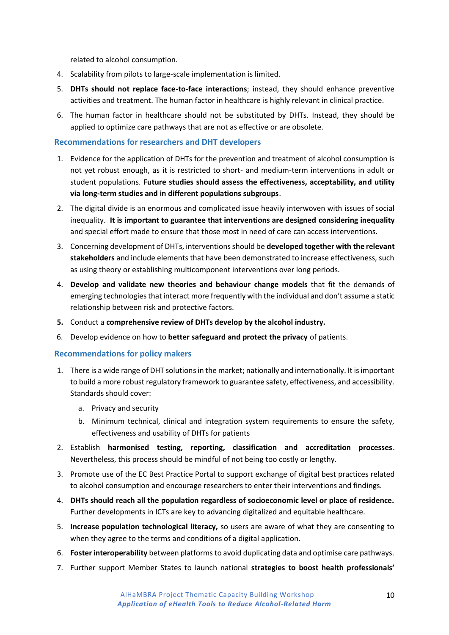related to alcohol consumption.

- 4. Scalability from pilots to large-scale implementation is limited.
- 5. **DHTs should not replace face-to-face interactions**; instead, they should enhance preventive activities and treatment. The human factor in healthcare is highly relevant in clinical practice.
- 6. The human factor in healthcare should not be substituted by DHTs. Instead, they should be applied to optimize care pathways that are not as effective or are obsolete.

#### **Recommendations for researchers and DHT developers**

- 1. Evidence for the application of DHTs for the prevention and treatment of alcohol consumption is not yet robust enough, as it is restricted to short- and medium-term interventions in adult or student populations. **Future studies should assess the effectiveness, acceptability, and utility via long-term studies and in different populations subgroups**.
- 2. The digital divide is an enormous and complicated issue heavily interwoven with issues of social inequality. **It is important to guarantee that interventions are designed considering inequality** and special effort made to ensure that those most in need of care can access interventions.
- 3. Concerning development of DHTs, interventions should be **developed together with the relevant stakeholders** and include elements that have been demonstrated to increase effectiveness, such as using theory or establishing multicomponent interventions over long periods.
- 4. **Develop and validate new theories and behaviour change models** that fit the demands of emerging technologies that interact more frequently with the individual and don't assume a static relationship between risk and protective factors.
- **5.** Conduct a **comprehensive review of DHTs develop by the alcohol industry.**
- 6. Develop evidence on how to **better safeguard and protect the privacy** of patients.

#### **Recommendations for policy makers**

- 1. There is a wide range of DHT solutions in the market; nationally and internationally. It is important to build a more robust regulatory framework to guarantee safety, effectiveness, and accessibility. Standards should cover:
	- a. Privacy and security
	- b. Minimum technical, clinical and integration system requirements to ensure the safety, effectiveness and usability of DHTs for patients
- 2. Establish **harmonised testing, reporting, classification and accreditation processes**. Nevertheless, this process should be mindful of not being too costly or lengthy.
- 3. Promote use of the EC Best Practice Portal to support exchange of digital best practices related to alcohol consumption and encourage researchers to enter their interventions and findings.
- 4. **DHTs should reach all the population regardless of socioeconomic level or place of residence.** Further developments in ICTs are key to advancing digitalized and equitable healthcare.
- 5. **Increase population technological literacy,** so users are aware of what they are consenting to when they agree to the terms and conditions of a digital application.
- 6. **Foster interoperability** between platforms to avoid duplicating data and optimise care pathways.
- 7. Further support Member States to launch national **strategies to boost health professionals'**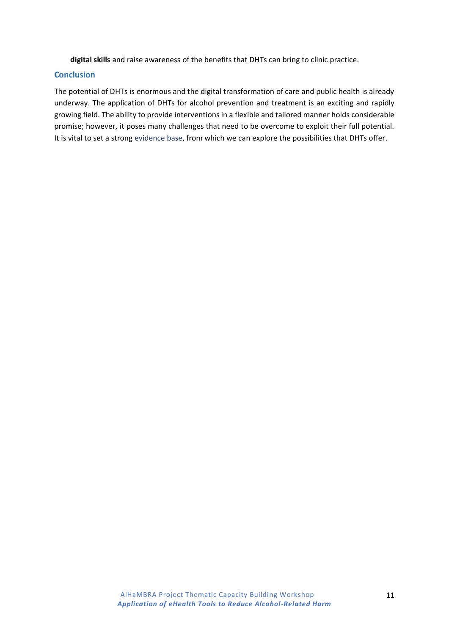**digital skills** and raise awareness of the benefits that DHTs can bring to clinic practice.

#### **Conclusion**

The potential of DHTs is enormous and the digital transformation of care and public health is already underway. The application of DHTs for alcohol prevention and treatment is an exciting and rapidly growing field. The ability to provide interventions in a flexible and tailored manner holds considerable promise; however, it poses many challenges that need to be overcome to exploit their full potential. It is vital to set a strong evidence base, from which we can explore the possibilities that DHTs offer.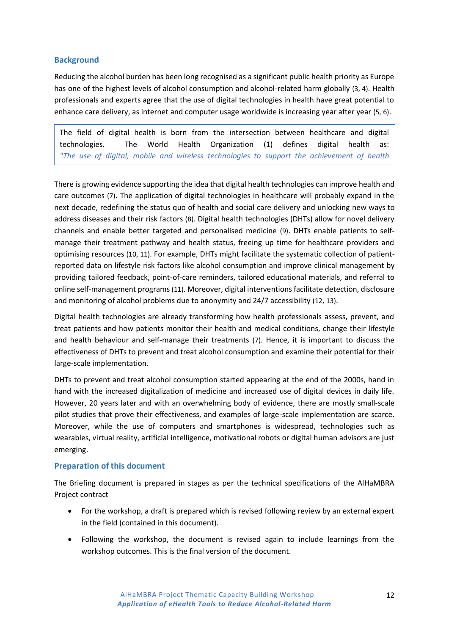# <span id="page-11-0"></span>**Background**

*objectives"*

Reducing the alcohol burden has been long recognised as a significant public health priority as Europe has one of the highest levels of alcohol consumption and alcohol-related harm globally (3, 4). Health professionals and experts agree that the use of digital technologies in health have great potential to enhance care delivery, as internet and computer usage worldwide is increasing year after year (5, 6).

The field of digital health is born from the intersection between healthcare and digital technologies. The World Health Organization (1) defines digital health as: *"The use of digital, mobile and wireless technologies to support the achievement of health* 

There is growing evidence supporting the idea that digital health technologies can improve health and care outcomes (7). The application of digital technologies in healthcare will probably expand in the next decade, redefining the status quo of health and social care delivery and unlocking new ways to address diseases and their risk factors (8). Digital health technologies (DHTs) allow for novel delivery channels and enable better targeted and personalised medicine (9). DHTs enable patients to selfmanage their treatment pathway and health status, freeing up time for healthcare providers and optimising resources (10, 11). For example, DHTs might facilitate the systematic collection of patientreported data on lifestyle risk factors like alcohol consumption and improve clinical management by providing tailored feedback, point-of-care reminders, tailored educational materials, and referral to online self-management programs (11). Moreover, digital interventions facilitate detection, disclosure and monitoring of alcohol problems due to anonymity and 24/7 accessibility (12, 13).

Digital health technologies are already transforming how health professionals assess, prevent, and treat patients and how patients monitor their health and medical conditions, change their lifestyle and health behaviour and self-manage their treatments (7). Hence, it is important to discuss the effectiveness of DHTs to prevent and treat alcohol consumption and examine their potential for their large-scale implementation.

DHTs to prevent and treat alcohol consumption started appearing at the end of the 2000s, hand in hand with the increased digitalization of medicine and increased use of digital devices in daily life. However, 20 years later and with an overwhelming body of evidence, there are mostly small-scale pilot studies that prove their effectiveness, and examples of large-scale implementation are scarce. Moreover, while the use of computers and smartphones is widespread, technologies such as wearables, virtual reality, artificial intelligence, motivational robots or digital human advisors are just emerging.

#### <span id="page-11-1"></span>**Preparation of this document**

The Briefing document is prepared in stages as per the technical specifications of the AlHaMBRA Project contract

- For the workshop, a draft is prepared which is revised following review by an external expert in the field (contained in this document).
- Following the workshop, the document is revised again to include learnings from the workshop outcomes. This is the final version of the document.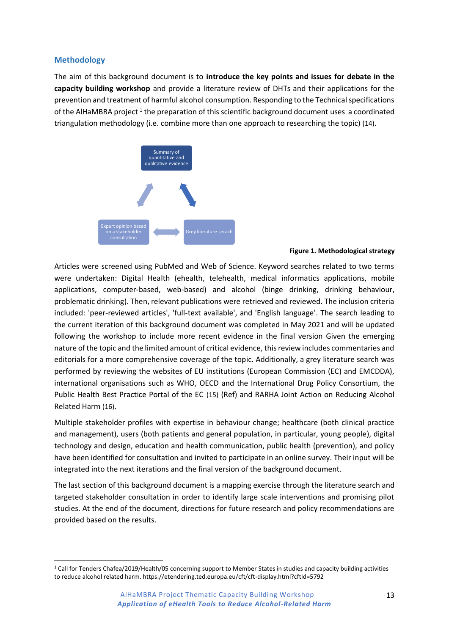#### <span id="page-12-0"></span>**Methodology**

The aim of this background document is to **introduce the key points and issues for debate in the capacity building workshop** and provide a literature review of DHTs and their applications for the prevention and treatment of harmful alcohol consumption. Responding to the Technical specifications of the AlHaMBRA project<sup>1</sup> the preparation of this scientific background document uses a coordinated triangulation methodology (i.e. combine more than one approach to researching the topic) (14).



#### **Figure 1. Methodological strategy**

Articles were screened using PubMed and Web of Science. Keyword searches related to two terms were undertaken: Digital Health (ehealth, telehealth, medical informatics applications, mobile applications, computer-based, web-based) and alcohol (binge drinking, drinking behaviour, problematic drinking). Then, relevant publications were retrieved and reviewed. The inclusion criteria included: 'peer-reviewed articles', 'full-text available', and 'English language'. The search leading to the current iteration of this background document was completed in May 2021 and will be updated following the workshop to include more recent evidence in the final version Given the emerging nature of the topic and the limited amount of critical evidence, this review includes commentaries and editorials for a more comprehensive coverage of the topic. Additionally, a grey literature search was performed by reviewing the websites of EU institutions (European Commission (EC) and EMCDDA), international organisations such as WHO, OECD and the International Drug Policy Consortium, the Public Health Best Practice Portal of the EC (15) (Ref) and RARHA Joint Action on Reducing Alcohol Related Harm (16).

Multiple stakeholder profiles with expertise in behaviour change; healthcare (both clinical practice and management), users (both patients and general population, in particular, young people), digital technology and design, education and health communication, public health (prevention), and policy have been identified for consultation and invited to participate in an online survey. Their input will be integrated into the next iterations and the final version of the background document.

The last section of this background document is a mapping exercise through the literature search and targeted stakeholder consultation in order to identify large scale interventions and promising pilot studies. At the end of the document, directions for future research and policy recommendations are provided based on the results.

<sup>1</sup> Call for Tenders Chafea/2019/Health/05 concerning support to Member States in studies and capacity building activities to reduce alcohol related harm. https://etendering.ted.europa.eu/cft/cft-display.html?cftId=5792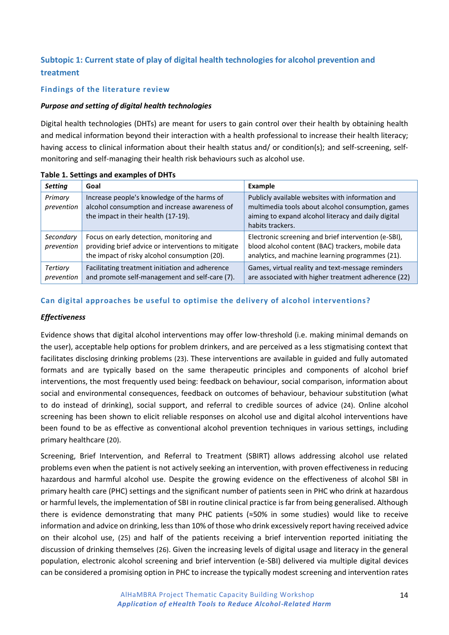# <span id="page-13-0"></span>**Subtopic 1: Current state of play of digital health technologies for alcohol prevention and treatment**

### <span id="page-13-1"></span>**Findings of the literature review**

#### *Purpose and setting of digital health technologies*

Digital health technologies (DHTs) are meant for users to gain control over their health by obtaining health and medical information beyond their interaction with a health professional to increase their health literacy; having access to clinical information about their health status and/ or condition(s); and self-screening, selfmonitoring and self-managing their health risk behaviours such as alcohol use.

| <b>Setting</b>          | Goal                                                                                                                                             | Example                                                                                                                                                                          |
|-------------------------|--------------------------------------------------------------------------------------------------------------------------------------------------|----------------------------------------------------------------------------------------------------------------------------------------------------------------------------------|
| Primary<br>prevention   | Increase people's knowledge of the harms of<br>alcohol consumption and increase awareness of<br>the impact in their health (17-19).              | Publicly available websites with information and<br>multimedia tools about alcohol consumption, games<br>aiming to expand alcohol literacy and daily digital<br>habits trackers. |
| Secondary<br>prevention | Focus on early detection, monitoring and<br>providing brief advice or interventions to mitigate<br>the impact of risky alcohol consumption (20). | Electronic screening and brief intervention (e-SBI),<br>blood alcohol content (BAC) trackers, mobile data<br>analytics, and machine learning programmes (21).                    |
| Tertiary<br>prevention  | Facilitating treatment initiation and adherence<br>and promote self-management and self-care (7).                                                | Games, virtual reality and text-message reminders<br>are associated with higher treatment adherence (22)                                                                         |

#### **Table 1. Settings and examples of DHTs**

#### <span id="page-13-2"></span>**Can digital approaches be useful to optimise the delivery of alcohol interventions?**

#### *Effectiveness*

Evidence shows that digital alcohol interventions may offer low-threshold (i.e. making minimal demands on the user), acceptable help options for problem drinkers, and are perceived as a less stigmatising context that facilitates disclosing drinking problems (23). These interventions are available in guided and fully automated formats and are typically based on the same therapeutic principles and components of alcohol brief interventions, the most frequently used being: feedback on behaviour, social comparison, information about social and environmental consequences, feedback on outcomes of behaviour, behaviour substitution (what to do instead of drinking), social support, and referral to credible sources of advice (24). Online alcohol screening has been shown to elicit reliable responses on alcohol use and digital alcohol interventions have been found to be as effective as conventional alcohol prevention techniques in various settings, including primary healthcare (20).

Screening, Brief Intervention, and Referral to Treatment (SBIRT) allows addressing alcohol use related problems even when the patient is not actively seeking an intervention, with proven effectiveness in reducing hazardous and harmful alcohol use. Despite the growing evidence on the effectiveness of alcohol SBI in primary health care (PHC) settings and the significant number of patients seen in PHC who drink at hazardous or harmful levels, the implementation of SBI in routine clinical practice is far from being generalised. Although there is evidence demonstrating that many PHC patients (≈50% in some studies) would like to receive information and advice on drinking, less than 10% of those who drink excessively report having received advice on their alcohol use, (25) and half of the patients receiving a brief intervention reported initiating the discussion of drinking themselves (26). Given the increasing levels of digital usage and literacy in the general population, electronic alcohol screening and brief intervention (e-SBI) delivered via multiple digital devices can be considered a promising option in PHC to increase the typically modest screening and intervention rates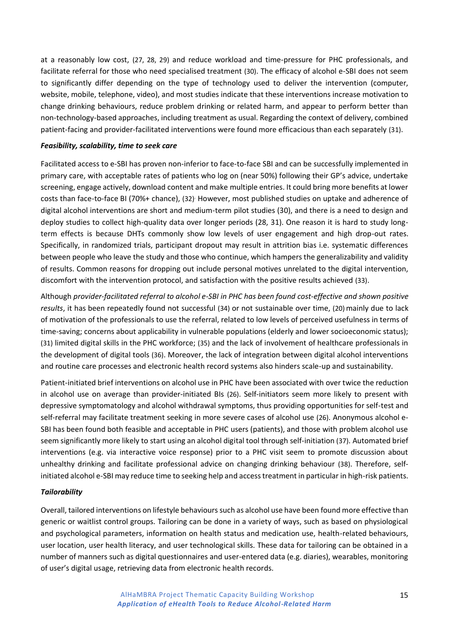at a reasonably low cost, (27, 28, 29) and reduce workload and time-pressure for PHC professionals, and facilitate referral for those who need specialised treatment (30). The efficacy of alcohol e-SBI does not seem to significantly differ depending on the type of technology used to deliver the intervention (computer, website, mobile, telephone, video), and most studies indicate that these interventions increase motivation to change drinking behaviours, reduce problem drinking or related harm, and appear to perform better than non-technology-based approaches, including treatment as usual. Regarding the context of delivery, combined patient-facing and provider-facilitated interventions were found more efficacious than each separately (31).

#### *Feasibility, scalability, time to seek care*

Facilitated access to e-SBI has proven non-inferior to face-to-face SBI and can be successfully implemented in primary care, with acceptable rates of patients who log on (near 50%) following their GP's advice, undertake screening, engage actively, download content and make multiple entries. It could bring more benefits at lower costs than face-to-face BI (70%+ chance), (32). However, most published studies on uptake and adherence of digital alcohol interventions are short and medium-term pilot studies (30), and there is a need to design and deploy studies to collect high-quality data over longer periods (28, 31). One reason it is hard to study longterm effects is because DHTs commonly show low levels of user engagement and high drop-out rates. Specifically, in randomized trials, participant dropout may result in attrition bias i.e. systematic differences between people who leave the study and those who continue, which hampers the generalizability and validity of results. Common reasons for dropping out include personal motives unrelated to the digital intervention, discomfort with the intervention protocol, and satisfaction with the positive results achieved (33).

Although *provider-facilitated referral to alcohol e-SBI in PHC has been found cost-effective and shown positive*  results, it has been repeatedly found not successful (34) or not sustainable over time, (20) mainly due to lack of motivation of the professionals to use the referral, related to low levels of perceived usefulness in terms of time-saving; concerns about applicability in vulnerable populations (elderly and lower socioeconomic status); (31) limited digital skills in the PHC workforce; (35) and the lack of involvement of healthcare professionals in the development of digital tools (36). Moreover, the lack of integration between digital alcohol interventions and routine care processes and electronic health record systems also hinders scale-up and sustainability.

Patient-initiated brief interventions on alcohol use in PHC have been associated with over twice the reduction in alcohol use on average than provider-initiated BIs (26). Self-initiators seem more likely to present with depressive symptomatology and alcohol withdrawal symptoms, thus providing opportunities for self-test and self-referral may facilitate treatment seeking in more severe cases of alcohol use (26). Anonymous alcohol e-SBI has been found both feasible and acceptable in PHC users (patients), and those with problem alcohol use seem significantly more likely to start using an alcohol digital tool through self-initiation (37). Automated brief interventions (e.g. via interactive voice response) prior to a PHC visit seem to promote discussion about unhealthy drinking and facilitate professional advice on changing drinking behaviour (38). Therefore, selfinitiated alcohol e-SBI may reduce time to seeking help and access treatment in particular in high-risk patients.

#### *Tailorability*

Overall, tailored interventions on lifestyle behaviours such as alcohol use have been found more effective than generic or waitlist control groups. Tailoring can be done in a variety of ways, such as based on physiological and psychological parameters, information on health status and medication use, health-related behaviours, user location, user health literacy, and user technological skills. These data for tailoring can be obtained in a number of manners such as digital questionnaires and user-entered data (e.g. diaries), wearables, monitoring of user's digital usage, retrieving data from electronic health records.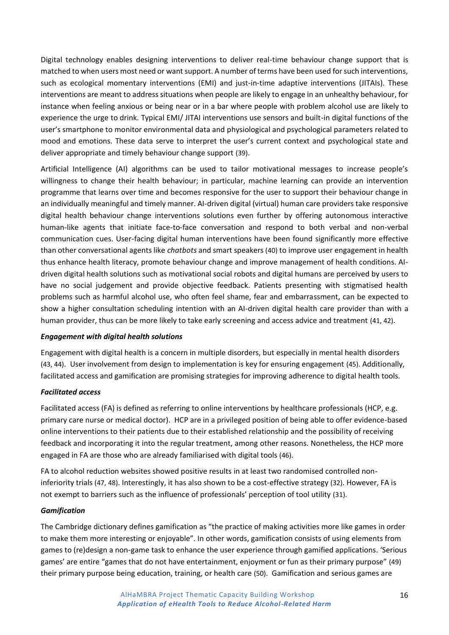Digital technology enables designing interventions to deliver real-time behaviour change support that is matched to when users most need or want support. A number of terms have been used for such interventions, such as ecological momentary interventions (EMI) and just-in-time adaptive interventions (JITAIs). These interventions are meant to address situations when people are likely to engage in an unhealthy behaviour, for instance when feeling anxious or being near or in a bar where people with problem alcohol use are likely to experience the urge to drink. Typical EMI/ JITAI interventions use sensors and built-in digital functions of the user's smartphone to monitor environmental data and physiological and psychological parameters related to mood and emotions. These data serve to interpret the user's current context and psychological state and deliver appropriate and timely behaviour change support (39).

Artificial Intelligence (AI) algorithms can be used to tailor motivational messages to increase people's willingness to change their health behaviour; in particular, machine learning can provide an intervention programme that learns over time and becomes responsive for the user to support their behaviour change in an individually meaningful and timely manner. AI-driven digital (virtual) human care providers take responsive digital health behaviour change interventions solutions even further by offering autonomous interactive human-like agents that initiate face-to-face conversation and respond to both verbal and non-verbal communication cues. User-facing digital human interventions have been found significantly more effective than other conversational agents like *chatbots* and smart speakers (40) to improve user engagement in health thus enhance health literacy, promote behaviour change and improve management of health conditions. AIdriven digital health solutions such as motivational social robots and digital humans are perceived by users to have no social judgement and provide objective feedback. Patients presenting with stigmatised health problems such as harmful alcohol use, who often feel shame, fear and embarrassment, can be expected to show a higher consultation scheduling intention with an AI-driven digital health care provider than with a human provider, thus can be more likely to take early screening and access advice and treatment (41, 42).

#### *Engagement with digital health solutions*

Engagement with digital health is a concern in multiple disorders, but especially in mental health disorders (43, 44). User involvement from design to implementation is key for ensuring engagement (45). Additionally, facilitated access and gamification are promising strategies for improving adherence to digital health tools.

#### *Facilitated access*

Facilitated access (FA) is defined as referring to online interventions by healthcare professionals (HCP, e.g. primary care nurse or medical doctor). HCP are in a privileged position of being able to offer evidence-based online interventions to their patients due to their established relationship and the possibility of receiving feedback and incorporating it into the regular treatment, among other reasons. Nonetheless, the HCP more engaged in FA are those who are already familiarised with digital tools (46).

FA to alcohol reduction websites showed positive results in at least two randomised controlled noninferiority trials (47, 48). Interestingly, it has also shown to be a cost-effective strategy (32). However, FA is not exempt to barriers such as the influence of professionals' perception of tool utility (31).

#### *Gamification*

The Cambridge dictionary defines gamification as "the practice of making activities more like games in order to make them more interesting or enjoyable". In other words, gamification consists of using elements from games to (re)design a non-game task to enhance the user experience through gamified applications. 'Serious games' are entire "games that do not have entertainment, enjoyment or fun as their primary purpose" (49) their primary purpose being education, training, or health care (50). Gamification and serious games are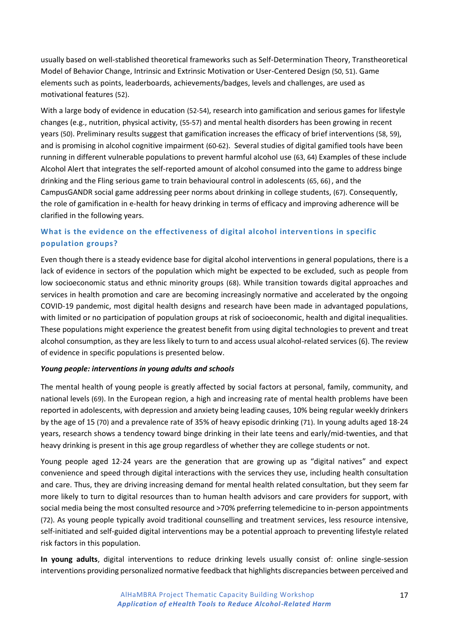usually based on well-stablished theoretical frameworks such as Self-Determination Theory, Transtheoretical Model of Behavior Change, Intrinsic and Extrinsic Motivation or User-Centered Design (50, 51). Game elements such as points, leaderboards, achievements/badges, levels and challenges, are used as motivational features (52).

With a large body of evidence in education (52-54), research into gamification and serious games for lifestyle changes (e.g., nutrition, physical activity, (55-57) and mental health disorders has been growing in recent years (50). Preliminary results suggest that gamification increases the efficacy of brief interventions (58, 59), and is promising in alcohol cognitive impairment (60-62). Several studies of digital gamified tools have been running in different vulnerable populations to prevent harmful alcohol use (63, 64) Examples of these include Alcohol Alert that integrates the self-reported amount of alcohol consumed into the game to address binge drinking and the Fling serious game to train behavioural control in adolescents (65, 66), and the CampusGANDR social game addressing peer norms about drinking in college students, (67). Consequently, the role of gamification in e-health for heavy drinking in terms of efficacy and improving adherence will be clarified in the following years.

# <span id="page-16-0"></span>**What is the evidence on the effectiveness of digital alcohol interven tions in specific population groups?**

Even though there is a steady evidence base for digital alcohol interventions in general populations, there is a lack of evidence in sectors of the population which might be expected to be excluded, such as people from low socioeconomic status and ethnic minority groups (68). While transition towards digital approaches and services in health promotion and care are becoming increasingly normative and accelerated by the ongoing COVID-19 pandemic, most digital health designs and research have been made in advantaged populations, with limited or no participation of population groups at risk of socioeconomic, health and digital inequalities. These populations might experience the greatest benefit from using digital technologies to prevent and treat alcohol consumption, as they are less likely to turn to and access usual alcohol-related services (6). The review of evidence in specific populations is presented below.

#### *Young people: interventions in young adults and schools*

The mental health of young people is greatly affected by social factors at personal, family, community, and national levels (69). In the European region, a high and increasing rate of mental health problems have been reported in adolescents, with depression and anxiety being leading causes, 10% being regular weekly drinkers by the age of 15 (70) and a prevalence rate of 35% of heavy episodic drinking (71). In young adults aged 18-24 years, research shows a tendency toward binge drinking in their late teens and early/mid-twenties, and that heavy drinking is present in this age group regardless of whether they are college students or not.

Young people aged 12-24 years are the generation that are growing up as "digital natives" and expect convenience and speed through digital interactions with the services they use, including health consultation and care. Thus, they are driving increasing demand for mental health related consultation, but they seem far more likely to turn to digital resources than to human health advisors and care providers for support, with social media being the most consulted resource and >70% preferring telemedicine to in-person appointments (72). As young people typically avoid traditional counselling and treatment services, less resource intensive, self-initiated and self-guided digital interventions may be a potential approach to preventing lifestyle related risk factors in this population.

**In young adults**, digital interventions to reduce drinking levels usually consist of: online single-session interventions providing personalized normative feedback that highlights discrepancies between perceived and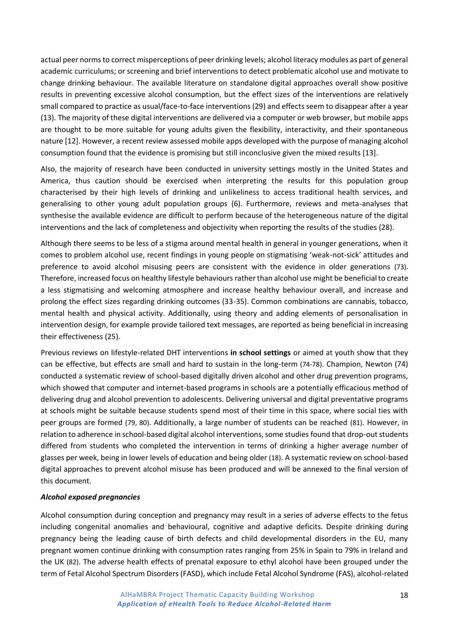actual peer norms to correct misperceptions of peer drinking levels; alcohol literacy modules as part of general academic curriculums; or screening and brief interventions to detect problematic alcohol use and motivate to change drinking behaviour. The available literature on standalone digital approaches overall show positive results in preventing excessive alcohol consumption, but the effect sizes of the interventions are relatively small compared to practice as usual/face-to-face interventions (29) and effects seem to disappear after a year (13). The majority of these digital interventions are delivered via a computer or web browser, but mobile apps are thought to be more suitable for young adults given the flexibility, interactivity, and their spontaneous nature [12]. However, a recent review assessed mobile apps developed with the purpose of managing alcohol consumption found that the evidence is promising but still inconclusive given the mixed results [13].

Also, the majority of research have been conducted in university settings mostly in the United States and America, thus caution should be exercised when interpreting the results for this population group characterised by their high levels of drinking and unlikeliness to access traditional health services, and generalising to other young adult population groups (6). Furthermore, reviews and meta-analyses that synthesise the available evidence are difficult to perform because of the heterogeneous nature of the digital interventions and the lack of completeness and objectivity when reporting the results of the studies (28).

Although there seems to be less of a stigma around mental health in general in younger generations, when it comes to problem alcohol use, recent findings in young people on stigmatising 'weak-not-sick' attitudes and preference to avoid alcohol misusing peers are consistent with the evidence in older generations (73). Therefore, increased focus on healthy lifestyle behaviours rather than alcohol use might be beneficial to create a less stigmatising and welcoming atmosphere and increase healthy behaviour overall, and increase and prolong the effect sizes regarding drinking outcomes (33-35). Common combinations are cannabis, tobacco, mental health and physical activity. Additionally, using theory and adding elements of personalisation in intervention design, for example provide tailored text messages, are reported as being beneficial in increasing their effectiveness (25).

Previous reviews on lifestyle-related DHT interventions **in school settings** or aimed at youth show that they can be effective, but effects are small and hard to sustain in the long-term (74-78). Champion, Newton (74) conducted a systematic review of school-based digitally driven alcohol and other drug prevention programs, which showed that computer and internet-based programs in schools are a potentially efficacious method of delivering drug and alcohol prevention to adolescents. Delivering universal and digital preventative programs at schools might be suitable because students spend most of their time in this space, where social ties with peer groups are formed (79, 80). Additionally, a large number of students can be reached (81). However, in relation to adherence in school-based digital alcohol interventions, some studies found that drop-out students differed from students who completed the intervention in terms of drinking a higher average number of glasses per week, being in lower levels of education and being older (18). A systematic review on school-based digital approaches to prevent alcohol misuse has been produced and will be annexed to the final version of this document.

#### *Alcohol exposed pregnancies*

Alcohol consumption during conception and pregnancy may result in a series of adverse effects to the fetus including congenital anomalies and behavioural, cognitive and adaptive deficits. Despite drinking during pregnancy being the leading cause of birth defects and child developmental disorders in the EU, many pregnant women continue drinking with consumption rates ranging from 25% in Spain to 79% in Ireland and the UK (82). The adverse health effects of prenatal exposure to ethyl alcohol have been grouped under the term of Fetal Alcohol Spectrum Disorders (FASD), which include Fetal Alcohol Syndrome (FAS), alcohol-related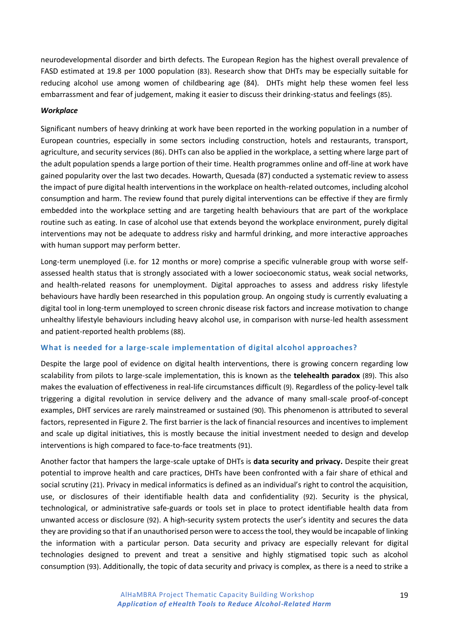neurodevelopmental disorder and birth defects. The European Region has the highest overall prevalence of FASD estimated at 19.8 per 1000 population (83). Research show that DHTs may be especially suitable for reducing alcohol use among women of childbearing age (84). DHTs might help these women feel less embarrassment and fear of judgement, making it easier to discuss their drinking-status and feelings (85).

#### *Workplace*

Significant numbers of heavy drinking at work have been reported in the working population in a number of European countries, especially in some sectors including construction, hotels and restaurants, transport, agriculture, and security services (86). DHTs can also be applied in the workplace, a setting where large part of the adult population spends a large portion of their time. Health programmes online and off-line at work have gained popularity over the last two decades. Howarth, Quesada (87) conducted a systematic review to assess the impact of pure digital health interventions in the workplace on health-related outcomes, including alcohol consumption and harm. The review found that purely digital interventions can be effective if they are firmly embedded into the workplace setting and are targeting health behaviours that are part of the workplace routine such as eating. In case of alcohol use that extends beyond the workplace environment, purely digital interventions may not be adequate to address risky and harmful drinking, and more interactive approaches with human support may perform better.

Long-term unemployed (i.e. for 12 months or more) comprise a specific vulnerable group with worse selfassessed health status that is strongly associated with a lower socioeconomic status, weak social networks, and health-related reasons for unemployment. Digital approaches to assess and address risky lifestyle behaviours have hardly been researched in this population group. An ongoing study is currently evaluating a digital tool in long-term unemployed to screen chronic disease risk factors and increase motivation to change unhealthy lifestyle behaviours including heavy alcohol use, in comparison with nurse-led health assessment and patient-reported health problems (88).

#### <span id="page-18-0"></span>**What is needed for a large-scale implementation of digital alcohol approaches?**

Despite the large pool of evidence on digital health interventions, there is growing concern regarding low scalability from pilots to large-scale implementation, this is known as the **telehealth paradox** (89). This also makes the evaluation of effectiveness in real-life circumstances difficult (9). Regardless of the policy-level talk triggering a digital revolution in service delivery and the advance of many small-scale proof-of-concept examples, DHT services are rarely mainstreamed or sustained (90). This phenomenon is attributed to several factors, represented in Figure 2. The first barrier is the lack of financial resources and incentives to implement and scale up digital initiatives, this is mostly because the initial investment needed to design and develop interventions is high compared to face-to-face treatments (91).

Another factor that hampers the large-scale uptake of DHTs is **data security and privacy.** Despite their great potential to improve health and care practices, DHTs have been confronted with a fair share of ethical and social scrutiny (21). Privacy in medical informatics is defined as an individual's right to control the acquisition, use, or disclosures of their identifiable health data and confidentiality (92). Security is the physical, technological, or administrative safe-guards or tools set in place to protect identifiable health data from unwanted access or disclosure (92). A high-security system protects the user's identity and secures the data they are providing so that if an unauthorised person were to access the tool, they would be incapable of linking the information with a particular person. Data security and privacy are especially relevant for digital technologies designed to prevent and treat a sensitive and highly stigmatised topic such as alcohol consumption (93). Additionally, the topic of data security and privacy is complex, as there is a need to strike a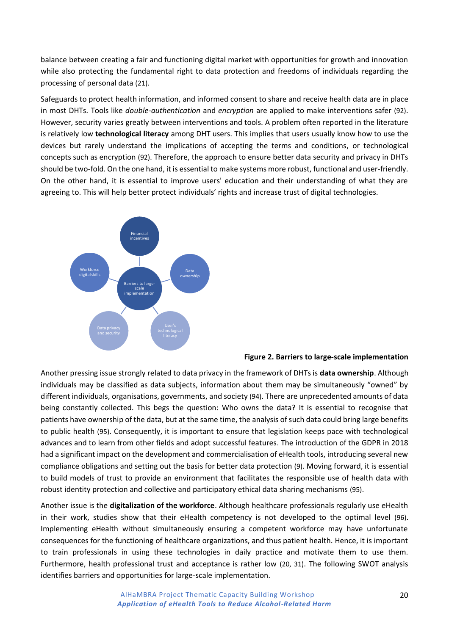balance between creating a fair and functioning digital market with opportunities for growth and innovation while also protecting the fundamental right to data protection and freedoms of individuals regarding the processing of personal data (21).

Safeguards to protect health information, and informed consent to share and receive health data are in place in most DHTs. Tools like *double-authentication* and *encryption* are applied to make interventions safer (92). However, security varies greatly between interventions and tools. A problem often reported in the literature is relatively low **technological literacy** among DHT users. This implies that users usually know how to use the devices but rarely understand the implications of accepting the terms and conditions, or technological concepts such as encryption (92). Therefore, the approach to ensure better data security and privacy in DHTs should be two-fold. On the one hand, it is essential to make systems more robust, functional and user-friendly. On the other hand, it is essential to improve users' education and their understanding of what they are agreeing to. This will help better protect individuals' rights and increase trust of digital technologies.



#### **Figure 2. Barriers to large-scale implementation**

Another pressing issue strongly related to data privacy in the framework of DHTs is **data ownership**. Although individuals may be classified as data subjects, information about them may be simultaneously "owned" by different individuals, organisations, governments, and society (94). There are unprecedented amounts of data being constantly collected. This begs the question: Who owns the data? It is essential to recognise that patients have ownership of the data, but at the same time, the analysis of such data could bring large benefits to public health (95). Consequently, it is important to ensure that legislation keeps pace with technological advances and to learn from other fields and adopt successful features. The introduction of the GDPR in 2018 had a significant impact on the development and commercialisation of eHealth tools, introducing several new compliance obligations and setting out the basis for better data protection (9). Moving forward, it is essential to build models of trust to provide an environment that facilitates the responsible use of health data with robust identity protection and collective and participatory ethical data sharing mechanisms (95).

Another issue is the **digitalization of the workforce**. Although healthcare professionals regularly use eHealth in their work, studies show that their eHealth competency is not developed to the optimal level (96). Implementing eHealth without simultaneously ensuring a competent workforce may have unfortunate consequences for the functioning of healthcare organizations, and thus patient health. Hence, it is important to train professionals in using these technologies in daily practice and motivate them to use them. Furthermore, health professional trust and acceptance is rather low (20, 31). The following SWOT analysis identifies barriers and opportunities for large-scale implementation.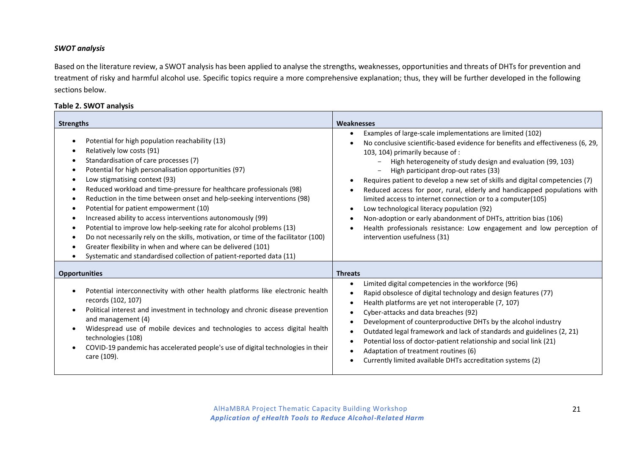#### *SWOT analysis*

Based on the literature review, a SWOT analysis has been applied to analyse the strengths, weaknesses, opportunities and threats of DHTs for prevention and treatment of risky and harmful alcohol use. Specific topics require a more comprehensive explanation; thus, they will be further developed in the following sections below.

#### **Table 2. SWOT analysis**

| <b>Strengths</b>                                                                                                                                                                                                                                                                                                                                                                                                                                                                                                                                                                                                                                                                                                                                                                                                                                                                                                    | <b>Weaknesses</b>                                                                                                                                                                                                                                                                                                                                                                                                                                                                                                                                                                                                                                                                                                                                                                               |
|---------------------------------------------------------------------------------------------------------------------------------------------------------------------------------------------------------------------------------------------------------------------------------------------------------------------------------------------------------------------------------------------------------------------------------------------------------------------------------------------------------------------------------------------------------------------------------------------------------------------------------------------------------------------------------------------------------------------------------------------------------------------------------------------------------------------------------------------------------------------------------------------------------------------|-------------------------------------------------------------------------------------------------------------------------------------------------------------------------------------------------------------------------------------------------------------------------------------------------------------------------------------------------------------------------------------------------------------------------------------------------------------------------------------------------------------------------------------------------------------------------------------------------------------------------------------------------------------------------------------------------------------------------------------------------------------------------------------------------|
| Potential for high population reachability (13)<br>$\bullet$<br>Relatively low costs (91)<br>٠<br>Standardisation of care processes (7)<br>٠<br>Potential for high personalisation opportunities (97)<br>٠<br>Low stigmatising context (93)<br>$\bullet$<br>Reduced workload and time-pressure for healthcare professionals (98)<br>٠<br>Reduction in the time between onset and help-seeking interventions (98)<br>٠<br>Potential for patient empowerment (10)<br>$\bullet$<br>Increased ability to access interventions autonomously (99)<br>$\bullet$<br>Potential to improve low help-seeking rate for alcohol problems (13)<br>$\bullet$<br>Do not necessarily rely on the skills, motivation, or time of the facilitator (100)<br>$\bullet$<br>Greater flexibility in when and where can be delivered (101)<br>$\bullet$<br>Systematic and standardised collection of patient-reported data (11)<br>$\bullet$ | Examples of large-scale implementations are limited (102)<br>$\bullet$<br>No conclusive scientific-based evidence for benefits and effectiveness (6, 29,<br>103, 104) primarily because of :<br>High heterogeneity of study design and evaluation (99, 103)<br>High participant drop-out rates (33)<br>Requires patient to develop a new set of skills and digital competencies (7)<br>Reduced access for poor, rural, elderly and handicapped populations with<br>$\bullet$<br>limited access to internet connection or to a computer(105)<br>Low technological literacy population (92)<br>$\bullet$<br>Non-adoption or early abandonment of DHTs, attrition bias (106)<br>$\bullet$<br>Health professionals resistance: Low engagement and low perception of<br>intervention usefulness (31) |
| <b>Opportunities</b>                                                                                                                                                                                                                                                                                                                                                                                                                                                                                                                                                                                                                                                                                                                                                                                                                                                                                                | <b>Threats</b>                                                                                                                                                                                                                                                                                                                                                                                                                                                                                                                                                                                                                                                                                                                                                                                  |
| Potential interconnectivity with other health platforms like electronic health<br>$\bullet$<br>records (102, 107)<br>Political interest and investment in technology and chronic disease prevention<br>$\bullet$<br>and management (4)<br>Widespread use of mobile devices and technologies to access digital health<br>$\bullet$<br>technologies (108)<br>COVID-19 pandemic has accelerated people's use of digital technologies in their<br>$\bullet$<br>care (109).                                                                                                                                                                                                                                                                                                                                                                                                                                              | Limited digital competencies in the workforce (96)<br>$\bullet$<br>Rapid obsolesce of digital technology and design features (77)<br>$\bullet$<br>Health platforms are yet not interoperable (7, 107)<br>٠<br>Cyber-attacks and data breaches (92)<br>$\bullet$<br>Development of counterproductive DHTs by the alcohol industry<br>$\bullet$<br>Outdated legal framework and lack of standards and guidelines (2, 21)<br>$\bullet$<br>Potential loss of doctor-patient relationship and social link (21)<br>٠<br>Adaptation of treatment routines (6)<br>$\bullet$<br>Currently limited available DHTs accreditation systems (2)                                                                                                                                                               |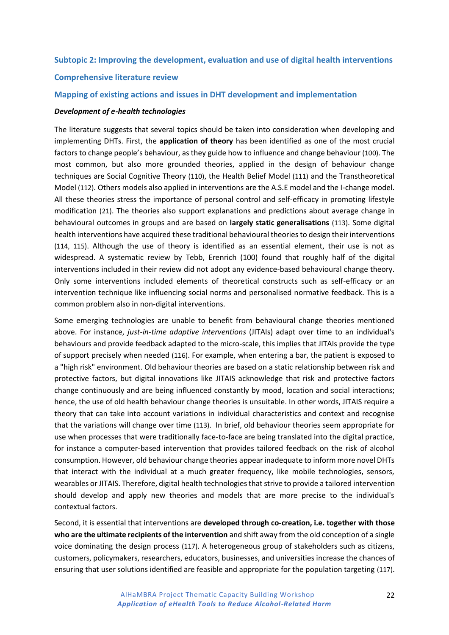#### <span id="page-21-0"></span>**Subtopic 2: Improving the development, evaluation and use of digital health interventions**

#### <span id="page-21-1"></span>**Comprehensive literature review**

#### <span id="page-21-2"></span>**Mapping of existing actions and issues in DHT development and implementation**

#### *Development of e-health technologies*

The literature suggests that several topics should be taken into consideration when developing and implementing DHTs. First, the **application of theory** has been identified as one of the most crucial factors to change people's behaviour, as they guide how to influence and change behaviour (100). The most common, but also more grounded theories, applied in the design of behaviour change techniques are Social Cognitive Theory (110), the Health Belief Model (111) and the Transtheoretical Model (112). Others models also applied in interventions are the A.S.E model and the I-change model. All these theories stress the importance of personal control and self-efficacy in promoting lifestyle modification (21). The theories also support explanations and predictions about average change in behavioural outcomes in groups and are based on **largely static generalisations** (113). Some digital health interventions have acquired these traditional behavioural theories to design their interventions (114, 115). Although the use of theory is identified as an essential element, their use is not as widespread. A systematic review by Tebb, Erenrich (100) found that roughly half of the digital interventions included in their review did not adopt any evidence-based behavioural change theory. Only some interventions included elements of theoretical constructs such as self-efficacy or an intervention technique like influencing social norms and personalised normative feedback. This is a common problem also in non-digital interventions.

Some emerging technologies are unable to benefit from behavioural change theories mentioned above. For instance, *just-in-time adaptive interventions* (JITAIs) adapt over time to an individual's behaviours and provide feedback adapted to the micro-scale, this implies that JITAIs provide the type of support precisely when needed (116). For example, when entering a bar, the patient is exposed to a "high risk" environment. Old behaviour theories are based on a static relationship between risk and protective factors, but digital innovations like JITAIS acknowledge that risk and protective factors change continuously and are being influenced constantly by mood, location and social interactions; hence, the use of old health behaviour change theories is unsuitable. In other words, JITAIS require a theory that can take into account variations in individual characteristics and context and recognise that the variations will change over time (113). In brief, old behaviour theories seem appropriate for use when processes that were traditionally face-to-face are being translated into the digital practice, for instance a computer-based intervention that provides tailored feedback on the risk of alcohol consumption. However, old behaviour change theories appear inadequate to inform more novel DHTs that interact with the individual at a much greater frequency, like mobile technologies, sensors, wearables or JITAIS. Therefore, digital health technologies that strive to provide a tailored intervention should develop and apply new theories and models that are more precise to the individual's contextual factors.

Second, it is essential that interventions are **developed through co-creation, i.e. together with those who are the ultimate recipients of the intervention** and shift away from the old conception of a single voice dominating the design process (117). A heterogeneous group of stakeholders such as citizens, customers, policymakers, researchers, educators, businesses, and universities increase the chances of ensuring that user solutions identified are feasible and appropriate for the population targeting (117).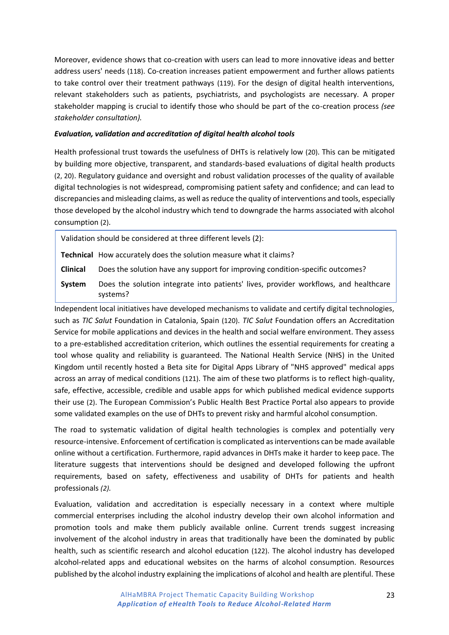Moreover, evidence shows that co-creation with users can lead to more innovative ideas and better address users' needs (118). Co-creation increases patient empowerment and further allows patients to take control over their treatment pathways (119). For the design of digital health interventions, relevant stakeholders such as patients, psychiatrists, and psychologists are necessary. A proper stakeholder mapping is crucial to identify those who should be part of the co-creation process *(see stakeholder consultation).*

#### *Evaluation, validation and accreditation of digital health alcohol tools*

Health professional trust towards the usefulness of DHTs is relatively low (20). This can be mitigated by building more objective, transparent, and standards-based evaluations of digital health products (2, 20). Regulatory guidance and oversight and robust validation processes of the quality of available digital technologies is not widespread, compromising patient safety and confidence; and can lead to discrepancies and misleading claims, as well as reduce the quality of interventions and tools, especially those developed by the alcohol industry which tend to downgrade the harms associated with alcohol consumption (2).

Validation should be considered at three different levels (2):

**Technical** How accurately does the solution measure what it claims?

**Clinical** Does the solution have any support for improving condition-specific outcomes?

**System** Does the solution integrate into patients' lives, provider workflows, and healthcare systems?

Independent local initiatives have developed mechanisms to validate and certify digital technologies, such as *TIC Salut* Foundation in Catalonia, Spain (120). *TIC Salut* Foundation offers an Accreditation Service for mobile applications and devices in the health and social welfare environment. They assess to a pre-established accreditation criterion, which outlines the essential requirements for creating a tool whose quality and reliability is guaranteed. The National Health Service (NHS) in the United Kingdom until recently hosted a Beta site for Digital Apps Library of "NHS approved" medical apps across an array of medical conditions (121). The aim of these two platforms is to reflect high-quality, safe, effective, accessible, credible and usable apps for which published medical evidence supports their use (2). The European Commission's Public Health Best Practice Portal also appears to provide some validated examples on the use of DHTs to prevent risky and harmful alcohol consumption.

The road to systematic validation of digital health technologies is complex and potentially very resource-intensive. Enforcement of certification is complicated as interventions can be made available online without a certification. Furthermore, rapid advances in DHTs make it harder to keep pace. The literature suggests that interventions should be designed and developed following the upfront requirements, based on safety, effectiveness and usability of DHTs for patients and health professionals *(2).* 

Evaluation, validation and accreditation is especially necessary in a context where multiple commercial enterprises including the alcohol industry develop their own alcohol information and promotion tools and make them publicly available online. Current trends suggest increasing involvement of the alcohol industry in areas that traditionally have been the dominated by public health, such as scientific research and alcohol education (122). The alcohol industry has developed alcohol-related apps and educational websites on the harms of alcohol consumption. Resources published by the alcohol industry explaining the implications of alcohol and health are plentiful. These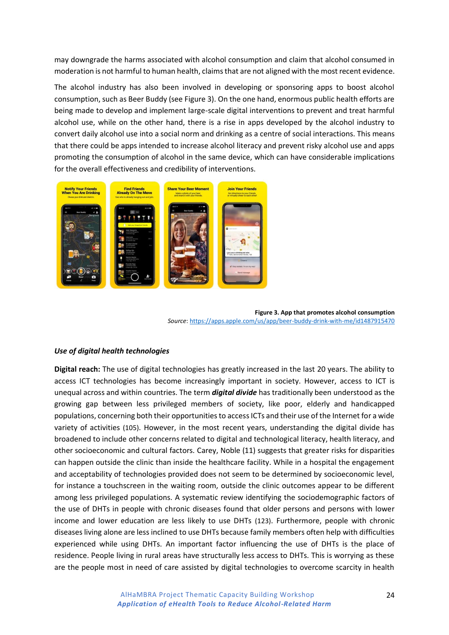may downgrade the harms associated with alcohol consumption and claim that alcohol consumed in moderation is not harmful to human health, claims that are not aligned with the most recent evidence.

The alcohol industry has also been involved in developing or sponsoring apps to boost alcohol consumption, such as Beer Buddy (see Figure 3). On the one hand, enormous public health efforts are being made to develop and implement large-scale digital interventions to prevent and treat harmful alcohol use, while on the other hand, there is a rise in apps developed by the alcohol industry to convert daily alcohol use into a social norm and drinking as a centre of social interactions. This means that there could be apps intended to increase alcohol literacy and prevent risky alcohol use and apps promoting the consumption of alcohol in the same device, which can have considerable implications for the overall effectiveness and credibility of interventions.



**Figure 3. App that promotes alcohol consumption** *Source*[: https://apps.apple.com/us/app/beer-buddy-drink-with-me/id1487915470](https://apps.apple.com/us/app/beer-buddy-drink-with-me/id1487915470)

#### *Use of digital health technologies*

**Digital reach:** The use of digital technologies has greatly increased in the last 20 years. The ability to access ICT technologies has become increasingly important in society. However, access to ICT is unequal across and within countries. The term *digital divide* has traditionally been understood as the growing gap between less privileged members of society, like poor, elderly and handicapped populations, concerning both their opportunities to access ICTs and their use of the Internet for a wide variety of activities (105). However, in the most recent years, understanding the digital divide has broadened to include other concerns related to digital and technological literacy, health literacy, and other socioeconomic and cultural factors. Carey, Noble (11) suggests that greater risks for disparities can happen outside the clinic than inside the healthcare facility. While in a hospital the engagement and acceptability of technologies provided does not seem to be determined by socioeconomic level, for instance a touchscreen in the waiting room, outside the clinic outcomes appear to be different among less privileged populations. A systematic review identifying the sociodemographic factors of the use of DHTs in people with chronic diseases found that older persons and persons with lower income and lower education are less likely to use DHTs (123). Furthermore, people with chronic diseases living alone are less inclined to use DHTs because family members often help with difficulties experienced while using DHTs. An important factor influencing the use of DHTs is the place of residence. People living in rural areas have structurally less access to DHTs. This is worrying as these are the people most in need of care assisted by digital technologies to overcome scarcity in health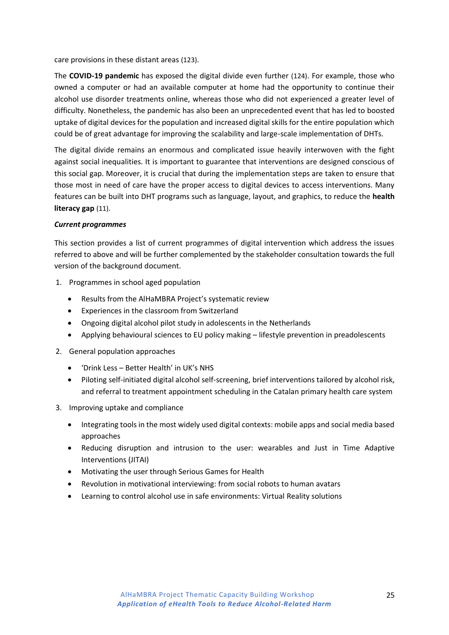care provisions in these distant areas (123).

The **COVID-19 pandemic** has exposed the digital divide even further (124). For example, those who owned a computer or had an available computer at home had the opportunity to continue their alcohol use disorder treatments online, whereas those who did not experienced a greater level of difficulty. Nonetheless, the pandemic has also been an unprecedented event that has led to boosted uptake of digital devices for the population and increased digital skills for the entire population which could be of great advantage for improving the scalability and large-scale implementation of DHTs.

The digital divide remains an enormous and complicated issue heavily interwoven with the fight against social inequalities. It is important to guarantee that interventions are designed conscious of this social gap. Moreover, it is crucial that during the implementation steps are taken to ensure that those most in need of care have the proper access to digital devices to access interventions. Many features can be built into DHT programs such as language, layout, and graphics, to reduce the **health literacy gap** (11).

#### *Current programmes*

This section provides a list of current programmes of digital intervention which address the issues referred to above and will be further complemented by the stakeholder consultation towards the full version of the background document.

- 1. Programmes in school aged population
	- Results from the AlHaMBRA Project's systematic review
	- Experiences in the classroom from Switzerland
	- Ongoing digital alcohol pilot study in adolescents in the Netherlands
	- Applying behavioural sciences to EU policy making lifestyle prevention in preadolescents
- 2. General population approaches
	- 'Drink Less Better Health' in UK's NHS
	- Piloting self-initiated digital alcohol self-screening, brief interventions tailored by alcohol risk, and referral to treatment appointment scheduling in the Catalan primary health care system
- 3. Improving uptake and compliance
	- Integrating tools in the most widely used digital contexts: mobile apps and social media based approaches
	- Reducing disruption and intrusion to the user: wearables and Just in Time Adaptive Interventions (JITAI)
	- Motivating the user through Serious Games for Health
	- Revolution in motivational interviewing: from social robots to human avatars
	- Learning to control alcohol use in safe environments: Virtual Reality solutions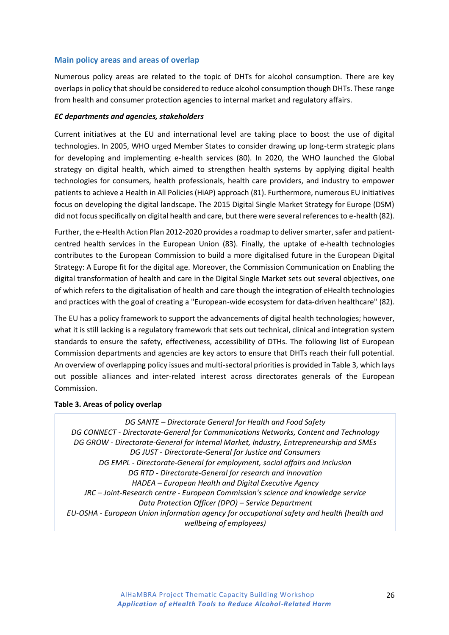#### <span id="page-25-0"></span>**Main policy areas and areas of overlap**

Numerous policy areas are related to the topic of DHTs for alcohol consumption. There are key overlaps in policy that should be considered to reduce alcohol consumption though DHTs. These range from health and consumer protection agencies to internal market and regulatory affairs.

#### *EC departments and agencies, stakeholders*

Current initiatives at the EU and international level are taking place to boost the use of digital technologies. In 2005, WHO urged Member States to consider drawing up long-term strategic plans for developing and implementing e-health services (80). In 2020, the WHO launched the Global strategy on digital health, which aimed to strengthen health systems by applying digital health technologies for consumers, health professionals, health care providers, and industry to empower patients to achieve a Health in All Policies (HiAP) approach (81). Furthermore, numerous EU initiatives focus on developing the digital landscape. The 2015 Digital Single Market Strategy for Europe (DSM) did not focus specifically on digital health and care, but there were several references to e-health (82).

Further, the e-Health Action Plan 2012-2020 provides a roadmap to deliver smarter, safer and patientcentred health services in the European Union (83). Finally, the uptake of e-health technologies contributes to the European Commission to build a more digitalised future in the European Digital Strategy: A Europe fit for the digital age. Moreover, the Commission Communication on Enabling the digital transformation of health and care in the Digital Single Market sets out several objectives, one of which refers to the digitalisation of health and care though the integration of eHealth technologies and practices with the goal of creating a "European-wide ecosystem for data-driven healthcare" (82).

The EU has a policy framework to support the advancements of digital health technologies; however, what it is still lacking is a regulatory framework that sets out technical, clinical and integration system standards to ensure the safety, effectiveness, accessibility of DTHs. The following list of European Commission departments and agencies are key actors to ensure that DHTs reach their full potential. An overview of overlapping policy issues and multi-sectoral priorities is provided in Table 3, which lays out possible alliances and inter-related interest across directorates generals of the European Commission.

#### **Table 3. Areas of policy overlap**

*DG SANTE – Directorate General for Health and Food Safety DG CONNECT - Directorate-General for Communications Networks, Content and Technology DG GROW - Directorate-General for Internal Market, Industry, Entrepreneurship and SMEs DG JUST - Directorate-General for Justice and Consumers DG EMPL - Directorate-General for employment, social affairs and inclusion DG RTD - Directorate-General for research and innovation HADEA – European Health and Digital Executive Agency JRC – Joint-Research centre - European Commission's science and knowledge service Data Protection Officer (DPO) – Service Department EU-OSHA - European Union information agency for occupational safety and health (health and wellbeing of employees)*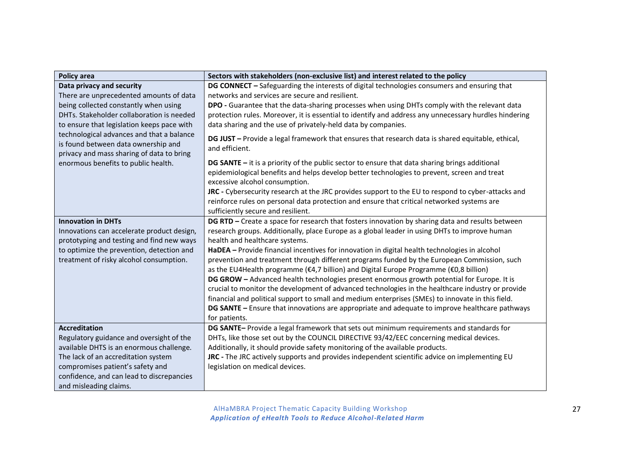| <b>Policy area</b>                                                                                                            | Sectors with stakeholders (non-exclusive list) and interest related to the policy                                             |
|-------------------------------------------------------------------------------------------------------------------------------|-------------------------------------------------------------------------------------------------------------------------------|
| Data privacy and security                                                                                                     | DG CONNECT - Safeguarding the interests of digital technologies consumers and ensuring that                                   |
| There are unprecedented amounts of data                                                                                       | networks and services are secure and resilient.                                                                               |
| being collected constantly when using                                                                                         | DPO - Guarantee that the data-sharing processes when using DHTs comply with the relevant data                                 |
| DHTs. Stakeholder collaboration is needed                                                                                     | protection rules. Moreover, it is essential to identify and address any unnecessary hurdles hindering                         |
| to ensure that legislation keeps pace with                                                                                    | data sharing and the use of privately-held data by companies.                                                                 |
| technological advances and that a balance<br>is found between data ownership and<br>privacy and mass sharing of data to bring | DG JUST - Provide a legal framework that ensures that research data is shared equitable, ethical,<br>and efficient.           |
| enormous benefits to public health.                                                                                           | DG SANTE - it is a priority of the public sector to ensure that data sharing brings additional                                |
|                                                                                                                               | epidemiological benefits and helps develop better technologies to prevent, screen and treat<br>excessive alcohol consumption. |
|                                                                                                                               | JRC - Cybersecurity research at the JRC provides support to the EU to respond to cyber-attacks and                            |
|                                                                                                                               | reinforce rules on personal data protection and ensure that critical networked systems are                                    |
|                                                                                                                               | sufficiently secure and resilient.                                                                                            |
| <b>Innovation in DHTs</b>                                                                                                     | DG RTD - Create a space for research that fosters innovation by sharing data and results between                              |
| Innovations can accelerate product design,                                                                                    | research groups. Additionally, place Europe as a global leader in using DHTs to improve human                                 |
| prototyping and testing and find new ways                                                                                     | health and healthcare systems.                                                                                                |
| to optimize the prevention, detection and                                                                                     | HaDEA - Provide financial incentives for innovation in digital health technologies in alcohol                                 |
| treatment of risky alcohol consumption.                                                                                       | prevention and treatment through different programs funded by the European Commission, such                                   |
|                                                                                                                               | as the EU4Health programme (€4,7 billion) and Digital Europe Programme (€0,8 billion)                                         |
|                                                                                                                               | DG GROW - Advanced health technologies present enormous growth potential for Europe. It is                                    |
|                                                                                                                               | crucial to monitor the development of advanced technologies in the healthcare industry or provide                             |
|                                                                                                                               | financial and political support to small and medium enterprises (SMEs) to innovate in this field.                             |
|                                                                                                                               | DG SANTE - Ensure that innovations are appropriate and adequate to improve healthcare pathways                                |
| <b>Accreditation</b>                                                                                                          | for patients.<br>DG SANTE- Provide a legal framework that sets out minimum requirements and standards for                     |
| Regulatory guidance and oversight of the                                                                                      | DHTs, like those set out by the COUNCIL DIRECTIVE 93/42/EEC concerning medical devices.                                       |
| available DHTS is an enormous challenge.                                                                                      | Additionally, it should provide safety monitoring of the available products.                                                  |
| The lack of an accreditation system                                                                                           | JRC - The JRC actively supports and provides independent scientific advice on implementing EU                                 |
| compromises patient's safety and                                                                                              | legislation on medical devices.                                                                                               |
| confidence, and can lead to discrepancies                                                                                     |                                                                                                                               |
| and misleading claims.                                                                                                        |                                                                                                                               |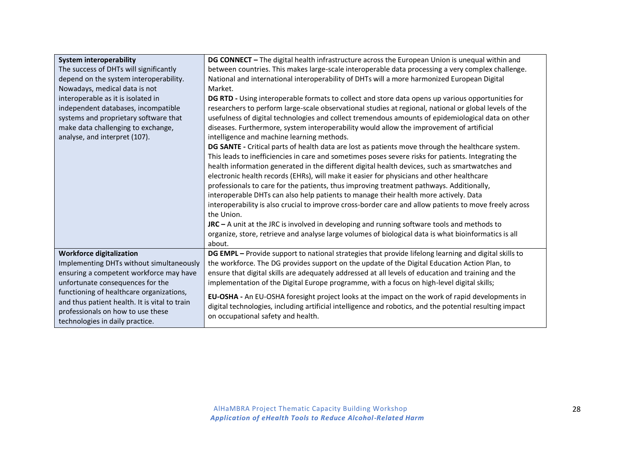| <b>System interoperability</b><br>The success of DHTs will significantly | DG CONNECT - The digital health infrastructure across the European Union is unequal within and<br>between countries. This makes large-scale interoperable data processing a very complex challenge. |
|--------------------------------------------------------------------------|-----------------------------------------------------------------------------------------------------------------------------------------------------------------------------------------------------|
| depend on the system interoperability.                                   | National and international interoperability of DHTs will a more harmonized European Digital                                                                                                         |
| Nowadays, medical data is not                                            | Market.                                                                                                                                                                                             |
| interoperable as it is isolated in                                       | DG RTD - Using interoperable formats to collect and store data opens up various opportunities for                                                                                                   |
| independent databases, incompatible                                      | researchers to perform large-scale observational studies at regional, national or global levels of the                                                                                              |
| systems and proprietary software that                                    | usefulness of digital technologies and collect tremendous amounts of epidemiological data on other                                                                                                  |
| make data challenging to exchange,                                       | diseases. Furthermore, system interoperability would allow the improvement of artificial                                                                                                            |
| analyse, and interpret (107).                                            | intelligence and machine learning methods.                                                                                                                                                          |
|                                                                          | DG SANTE - Critical parts of health data are lost as patients move through the healthcare system.                                                                                                   |
|                                                                          | This leads to inefficiencies in care and sometimes poses severe risks for patients. Integrating the                                                                                                 |
|                                                                          | health information generated in the different digital health devices, such as smartwatches and                                                                                                      |
|                                                                          | electronic health records (EHRs), will make it easier for physicians and other healthcare                                                                                                           |
|                                                                          | professionals to care for the patients, thus improving treatment pathways. Additionally,                                                                                                            |
|                                                                          | interoperable DHTs can also help patients to manage their health more actively. Data                                                                                                                |
|                                                                          | interoperability is also crucial to improve cross-border care and allow patients to move freely across                                                                                              |
|                                                                          | the Union.                                                                                                                                                                                          |
|                                                                          | $JRC - A$ unit at the JRC is involved in developing and running software tools and methods to                                                                                                       |
|                                                                          | organize, store, retrieve and analyse large volumes of biological data is what bioinformatics is all                                                                                                |
|                                                                          | about.                                                                                                                                                                                              |
| <b>Workforce digitalization</b>                                          | DG EMPL - Provide support to national strategies that provide lifelong learning and digital skills to                                                                                               |
| Implementing DHTs without simultaneously                                 | the workforce. The DG provides support on the update of the Digital Education Action Plan, to                                                                                                       |
| ensuring a competent workforce may have                                  | ensure that digital skills are adequately addressed at all levels of education and training and the                                                                                                 |
| unfortunate consequences for the                                         | implementation of the Digital Europe programme, with a focus on high-level digital skills;                                                                                                          |
| functioning of healthcare organizations,                                 | EU-OSHA - An EU-OSHA foresight project looks at the impact on the work of rapid developments in                                                                                                     |
| and thus patient health. It is vital to train                            | digital technologies, including artificial intelligence and robotics, and the potential resulting impact                                                                                            |
| professionals on how to use these                                        | on occupational safety and health.                                                                                                                                                                  |
| technologies in daily practice.                                          |                                                                                                                                                                                                     |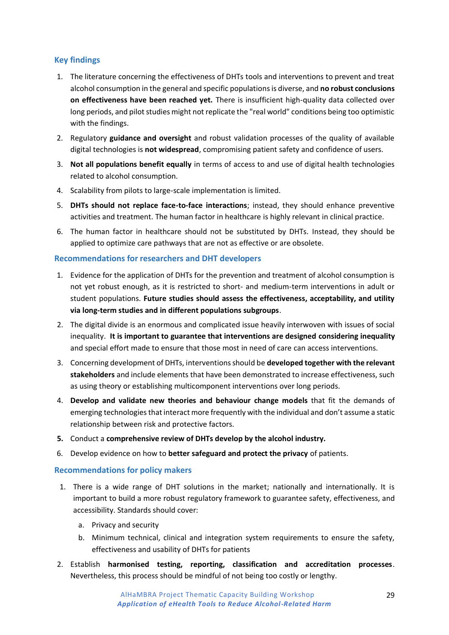# <span id="page-28-0"></span>**Key findings**

- 1. The literature concerning the effectiveness of DHTs tools and interventions to prevent and treat alcohol consumption in the general and specific populations is diverse, and **no robust conclusions on effectiveness have been reached yet.** There is insufficient high-quality data collected over long periods, and pilot studies might not replicate the "real world" conditions being too optimistic with the findings.
- 2. Regulatory **guidance and oversight** and robust validation processes of the quality of available digital technologies is **not widespread**, compromising patient safety and confidence of users.
- 3. **Not all populations benefit equally** in terms of access to and use of digital health technologies related to alcohol consumption.
- 4. Scalability from pilots to large-scale implementation is limited.
- 5. **DHTs should not replace face-to-face interactions**; instead, they should enhance preventive activities and treatment. The human factor in healthcare is highly relevant in clinical practice.
- 6. The human factor in healthcare should not be substituted by DHTs. Instead, they should be applied to optimize care pathways that are not as effective or are obsolete.

#### <span id="page-28-1"></span>**Recommendations for researchers and DHT developers**

- 1. Evidence for the application of DHTs for the prevention and treatment of alcohol consumption is not yet robust enough, as it is restricted to short- and medium-term interventions in adult or student populations. **Future studies should assess the effectiveness, acceptability, and utility via long-term studies and in different populations subgroups**.
- 2. The digital divide is an enormous and complicated issue heavily interwoven with issues of social inequality. **It is important to guarantee that interventions are designed considering inequality** and special effort made to ensure that those most in need of care can access interventions.
- 3. Concerning development of DHTs, interventions should be **developed together with the relevant stakeholders** and include elements that have been demonstrated to increase effectiveness, such as using theory or establishing multicomponent interventions over long periods.
- 4. **Develop and validate new theories and behaviour change models** that fit the demands of emerging technologies that interact more frequently with the individual and don't assume a static relationship between risk and protective factors.
- **5.** Conduct a **comprehensive review of DHTs develop by the alcohol industry.**
- 6. Develop evidence on how to **better safeguard and protect the privacy** of patients.

#### <span id="page-28-2"></span>**Recommendations for policy makers**

- 1. There is a wide range of DHT solutions in the market; nationally and internationally. It is important to build a more robust regulatory framework to guarantee safety, effectiveness, and accessibility. Standards should cover:
	- a. Privacy and security
	- b. Minimum technical, clinical and integration system requirements to ensure the safety, effectiveness and usability of DHTs for patients
- 2. Establish **harmonised testing, reporting, classification and accreditation processes**. Nevertheless, this process should be mindful of not being too costly or lengthy.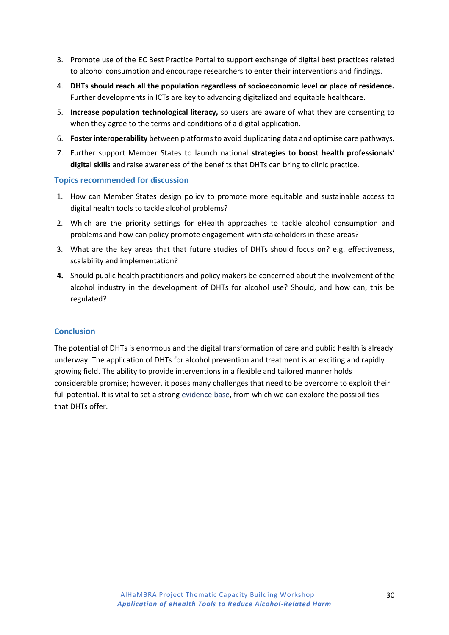- 3. Promote use of the EC Best Practice Portal to support exchange of digital best practices related to alcohol consumption and encourage researchers to enter their interventions and findings.
- 4. **DHTs should reach all the population regardless of socioeconomic level or place of residence.** Further developments in ICTs are key to advancing digitalized and equitable healthcare.
- 5. **Increase population technological literacy,** so users are aware of what they are consenting to when they agree to the terms and conditions of a digital application.
- 6. **Foster interoperability** between platforms to avoid duplicating data and optimise care pathways.
- 7. Further support Member States to launch national **strategies to boost health professionals' digital skills** and raise awareness of the benefits that DHTs can bring to clinic practice.

#### <span id="page-29-0"></span>**Topics recommended for discussion**

- 1. How can Member States design policy to promote more equitable and sustainable access to digital health tools to tackle alcohol problems?
- 2. Which are the priority settings for eHealth approaches to tackle alcohol consumption and problems and how can policy promote engagement with stakeholders in these areas?
- 3. What are the key areas that that future studies of DHTs should focus on? e.g. effectiveness, scalability and implementation?
- **4.** Should public health practitioners and policy makers be concerned about the involvement of the alcohol industry in the development of DHTs for alcohol use? Should, and how can, this be regulated?

#### <span id="page-29-1"></span>**Conclusion**

The potential of DHTs is enormous and the digital transformation of care and public health is already underway. The application of DHTs for alcohol prevention and treatment is an exciting and rapidly growing field. The ability to provide interventions in a flexible and tailored manner holds considerable promise; however, it poses many challenges that need to be overcome to exploit their full potential. It is vital to set a strong evidence base, from which we can explore the possibilities that DHTs offer.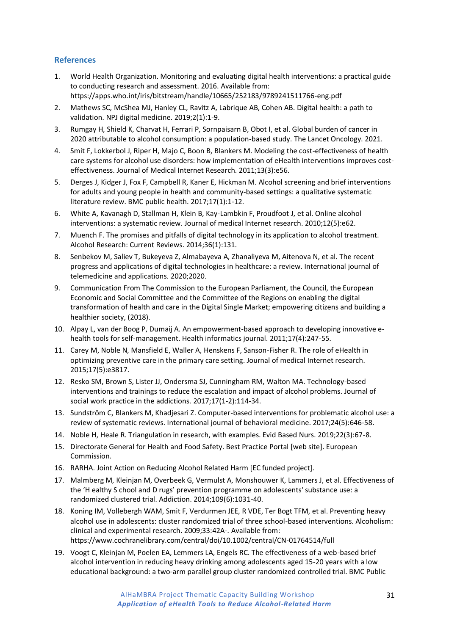# <span id="page-30-0"></span>**References**

- 1. World Health Organization. Monitoring and evaluating digital health interventions: a practical guide to conducting research and assessment. 2016. Available from: https://apps.who.int/iris/bitstream/handle/10665/252183/9789241511766-eng.pdf
- 2. Mathews SC, McShea MJ, Hanley CL, Ravitz A, Labrique AB, Cohen AB. Digital health: a path to validation. NPJ digital medicine. 2019;2(1):1-9.
- 3. Rumgay H, Shield K, Charvat H, Ferrari P, Sornpaisarn B, Obot I, et al. Global burden of cancer in 2020 attributable to alcohol consumption: a population-based study. The Lancet Oncology. 2021.
- 4. Smit F, Lokkerbol J, Riper H, Majo C, Boon B, Blankers M. Modeling the cost-effectiveness of health care systems for alcohol use disorders: how implementation of eHealth interventions improves costeffectiveness. Journal of Medical Internet Research. 2011;13(3):e56.
- 5. Derges J, Kidger J, Fox F, Campbell R, Kaner E, Hickman M. Alcohol screening and brief interventions for adults and young people in health and community-based settings: a qualitative systematic literature review. BMC public health. 2017;17(1):1-12.
- 6. White A, Kavanagh D, Stallman H, Klein B, Kay-Lambkin F, Proudfoot J, et al. Online alcohol interventions: a systematic review. Journal of medical Internet research. 2010;12(5):e62.
- 7. Muench F. The promises and pitfalls of digital technology in its application to alcohol treatment. Alcohol Research: Current Reviews. 2014;36(1):131.
- 8. Senbekov M, Saliev T, Bukeyeva Z, Almabayeva A, Zhanaliyeva M, Aitenova N, et al. The recent progress and applications of digital technologies in healthcare: a review. International journal of telemedicine and applications. 2020;2020.
- 9. Communication From The Commission to the European Parliament, the Council, the European Economic and Social Committee and the Committee of the Regions on enabling the digital transformation of health and care in the Digital Single Market; empowering citizens and building a healthier society, (2018).
- 10. Alpay L, van der Boog P, Dumaij A. An empowerment-based approach to developing innovative ehealth tools for self-management. Health informatics journal. 2011;17(4):247-55.
- 11. Carey M, Noble N, Mansfield E, Waller A, Henskens F, Sanson-Fisher R. The role of eHealth in optimizing preventive care in the primary care setting. Journal of medical Internet research. 2015;17(5):e3817.
- 12. Resko SM, Brown S, Lister JJ, Ondersma SJ, Cunningham RM, Walton MA. Technology-based interventions and trainings to reduce the escalation and impact of alcohol problems. Journal of social work practice in the addictions. 2017;17(1-2):114-34.
- 13. Sundström C, Blankers M, Khadjesari Z. Computer-based interventions for problematic alcohol use: a review of systematic reviews. International journal of behavioral medicine. 2017;24(5):646-58.
- 14. Noble H, Heale R. Triangulation in research, with examples. Evid Based Nurs. 2019;22(3):67-8.
- 15. Directorate General for Health and Food Safety. Best Practice Portal [web site]. European Commission.
- 16. RARHA. Joint Action on Reducing Alcohol Related Harm [EC funded project].
- 17. Malmberg M, Kleinjan M, Overbeek G, Vermulst A, Monshouwer K, Lammers J, et al. Effectiveness of the 'H ealthy S chool and D rugs' prevention programme on adolescents' substance use: a randomized clustered trial. Addiction. 2014;109(6):1031-40.
- 18. Koning IM, Vollebergh WAM, Smit F, Verdurmen JEE, R VDE, Ter Bogt TFM, et al. Preventing heavy alcohol use in adolescents: cluster randomized trial of three school-based interventions. Alcoholism: clinical and experimental research. 2009;33:42A‐. Available from: https://www.cochranelibrary.com/central/doi/10.1002/central/CN-01764514/full
- 19. Voogt C, Kleinjan M, Poelen EA, Lemmers LA, Engels RC. The effectiveness of a web-based brief alcohol intervention in reducing heavy drinking among adolescents aged 15-20 years with a low educational background: a two-arm parallel group cluster randomized controlled trial. BMC Public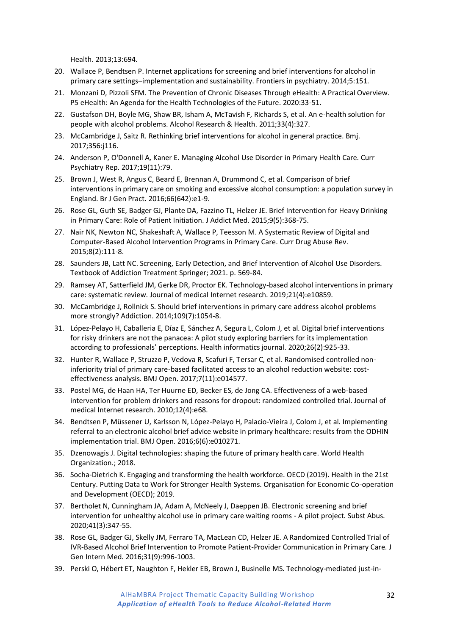Health. 2013;13:694.

- 20. Wallace P, Bendtsen P. Internet applications for screening and brief interventions for alcohol in primary care settings–implementation and sustainability. Frontiers in psychiatry. 2014;5:151.
- 21. Monzani D, Pizzoli SFM. The Prevention of Chronic Diseases Through eHealth: A Practical Overview. P5 eHealth: An Agenda for the Health Technologies of the Future. 2020:33-51.
- 22. Gustafson DH, Boyle MG, Shaw BR, Isham A, McTavish F, Richards S, et al. An e-health solution for people with alcohol problems. Alcohol Research & Health. 2011;33(4):327.
- 23. McCambridge J, Saitz R. Rethinking brief interventions for alcohol in general practice. Bmj. 2017;356:j116.
- 24. Anderson P, O'Donnell A, Kaner E. Managing Alcohol Use Disorder in Primary Health Care. Curr Psychiatry Rep. 2017;19(11):79.
- 25. Brown J, West R, Angus C, Beard E, Brennan A, Drummond C, et al. Comparison of brief interventions in primary care on smoking and excessive alcohol consumption: a population survey in England. Br J Gen Pract. 2016;66(642):e1-9.
- 26. Rose GL, Guth SE, Badger GJ, Plante DA, Fazzino TL, Helzer JE. Brief Intervention for Heavy Drinking in Primary Care: Role of Patient Initiation. J Addict Med. 2015;9(5):368-75.
- 27. Nair NK, Newton NC, Shakeshaft A, Wallace P, Teesson M. A Systematic Review of Digital and Computer-Based Alcohol Intervention Programs in Primary Care. Curr Drug Abuse Rev. 2015;8(2):111-8.
- 28. Saunders JB, Latt NC. Screening, Early Detection, and Brief Intervention of Alcohol Use Disorders. Textbook of Addiction Treatment Springer; 2021. p. 569-84.
- 29. Ramsey AT, Satterfield JM, Gerke DR, Proctor EK. Technology-based alcohol interventions in primary care: systematic review. Journal of medical Internet research. 2019;21(4):e10859.
- 30. McCambridge J, Rollnick S. Should brief interventions in primary care address alcohol problems more strongly? Addiction. 2014;109(7):1054-8.
- 31. López-Pelayo H, Caballeria E, Díaz E, Sánchez A, Segura L, Colom J, et al. Digital brief interventions for risky drinkers are not the panacea: A pilot study exploring barriers for its implementation according to professionals' perceptions. Health informatics journal. 2020;26(2):925-33.
- 32. Hunter R, Wallace P, Struzzo P, Vedova R, Scafuri F, Tersar C, et al. Randomised controlled noninferiority trial of primary care-based facilitated access to an alcohol reduction website: costeffectiveness analysis. BMJ Open. 2017;7(11):e014577.
- 33. Postel MG, de Haan HA, Ter Huurne ED, Becker ES, de Jong CA. Effectiveness of a web-based intervention for problem drinkers and reasons for dropout: randomized controlled trial. Journal of medical Internet research. 2010;12(4):e68.
- 34. Bendtsen P, Müssener U, Karlsson N, López-Pelayo H, Palacio-Vieira J, Colom J, et al. Implementing referral to an electronic alcohol brief advice website in primary healthcare: results from the ODHIN implementation trial. BMJ Open. 2016;6(6):e010271.
- 35. Dzenowagis J. Digital technologies: shaping the future of primary health care. World Health Organization.; 2018.
- 36. Socha-Dietrich K. Engaging and transforming the health workforce. OECD (2019). Health in the 21st Century. Putting Data to Work for Stronger Health Systems. Organisation for Economic Co-operation and Development (OECD); 2019.
- 37. Bertholet N, Cunningham JA, Adam A, McNeely J, Daeppen JB. Electronic screening and brief intervention for unhealthy alcohol use in primary care waiting rooms - A pilot project. Subst Abus. 2020;41(3):347-55.
- 38. Rose GL, Badger GJ, Skelly JM, Ferraro TA, MacLean CD, Helzer JE. A Randomized Controlled Trial of IVR-Based Alcohol Brief Intervention to Promote Patient-Provider Communication in Primary Care. J Gen Intern Med. 2016;31(9):996-1003.
- 39. Perski O, Hébert ET, Naughton F, Hekler EB, Brown J, Businelle MS. Technology-mediated just-in-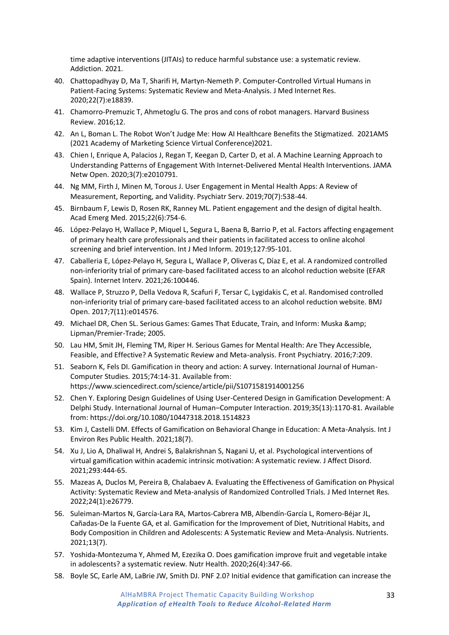time adaptive interventions (JITAIs) to reduce harmful substance use: a systematic review. Addiction. 2021.

- 40. Chattopadhyay D, Ma T, Sharifi H, Martyn-Nemeth P. Computer-Controlled Virtual Humans in Patient-Facing Systems: Systematic Review and Meta-Analysis. J Med Internet Res. 2020;22(7):e18839.
- 41. Chamorro-Premuzic T, Ahmetoglu G. The pros and cons of robot managers. Harvard Business Review. 2016;12.
- 42. An L, Boman L. The Robot Won't Judge Me: How AI Healthcare Benefits the Stigmatized. 2021AMS (2021 Academy of Marketing Science Virtual Conference)2021.
- 43. Chien I, Enrique A, Palacios J, Regan T, Keegan D, Carter D, et al. A Machine Learning Approach to Understanding Patterns of Engagement With Internet-Delivered Mental Health Interventions. JAMA Netw Open. 2020;3(7):e2010791.
- 44. Ng MM, Firth J, Minen M, Torous J. User Engagement in Mental Health Apps: A Review of Measurement, Reporting, and Validity. Psychiatr Serv. 2019;70(7):538-44.
- 45. Birnbaum F, Lewis D, Rosen RK, Ranney ML. Patient engagement and the design of digital health. Acad Emerg Med. 2015;22(6):754-6.
- 46. López-Pelayo H, Wallace P, Miquel L, Segura L, Baena B, Barrio P, et al. Factors affecting engagement of primary health care professionals and their patients in facilitated access to online alcohol screening and brief intervention. Int J Med Inform. 2019;127:95-101.
- 47. Caballeria E, López-Pelayo H, Segura L, Wallace P, Oliveras C, Díaz E, et al. A randomized controlled non-inferiority trial of primary care-based facilitated access to an alcohol reduction website (EFAR Spain). Internet Interv. 2021;26:100446.
- 48. Wallace P, Struzzo P, Della Vedova R, Scafuri F, Tersar C, Lygidakis C, et al. Randomised controlled non-inferiority trial of primary care-based facilitated access to an alcohol reduction website. BMJ Open. 2017;7(11):e014576.
- 49. Michael DR, Chen SL. Serious Games: Games That Educate, Train, and Inform: Muska & Lipman/Premier-Trade; 2005.
- 50. Lau HM, Smit JH, Fleming TM, Riper H. Serious Games for Mental Health: Are They Accessible, Feasible, and Effective? A Systematic Review and Meta-analysis. Front Psychiatry. 2016;7:209.
- 51. Seaborn K, Fels DI. Gamification in theory and action: A survey. International Journal of Human-Computer Studies. 2015;74:14-31. Available from: https://www.sciencedirect.com/science/article/pii/S1071581914001256
- 52. Chen Y. Exploring Design Guidelines of Using User-Centered Design in Gamification Development: A Delphi Study. International Journal of Human–Computer Interaction. 2019;35(13):1170-81. Available from: https://doi.org/10.1080/10447318.2018.1514823
- 53. Kim J, Castelli DM. Effects of Gamification on Behavioral Change in Education: A Meta-Analysis. Int J Environ Res Public Health. 2021;18(7).
- 54. Xu J, Lio A, Dhaliwal H, Andrei S, Balakrishnan S, Nagani U, et al. Psychological interventions of virtual gamification within academic intrinsic motivation: A systematic review. J Affect Disord. 2021;293:444-65.
- 55. Mazeas A, Duclos M, Pereira B, Chalabaev A. Evaluating the Effectiveness of Gamification on Physical Activity: Systematic Review and Meta-analysis of Randomized Controlled Trials. J Med Internet Res. 2022;24(1):e26779.
- 56. Suleiman-Martos N, García-Lara RA, Martos-Cabrera MB, Albendín-García L, Romero-Béjar JL, Cañadas-De la Fuente GA, et al. Gamification for the Improvement of Diet, Nutritional Habits, and Body Composition in Children and Adolescents: A Systematic Review and Meta-Analysis. Nutrients. 2021;13(7).
- 57. Yoshida-Montezuma Y, Ahmed M, Ezezika O. Does gamification improve fruit and vegetable intake in adolescents? a systematic review. Nutr Health. 2020;26(4):347-66.
- 58. Boyle SC, Earle AM, LaBrie JW, Smith DJ. PNF 2.0? Initial evidence that gamification can increase the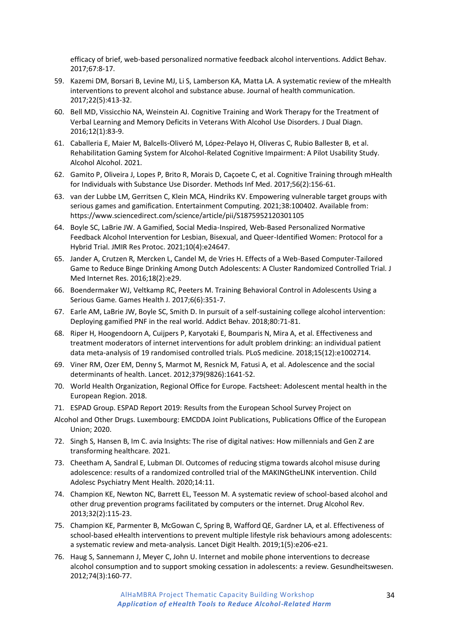efficacy of brief, web-based personalized normative feedback alcohol interventions. Addict Behav. 2017;67:8-17.

- 59. Kazemi DM, Borsari B, Levine MJ, Li S, Lamberson KA, Matta LA. A systematic review of the mHealth interventions to prevent alcohol and substance abuse. Journal of health communication. 2017;22(5):413-32.
- 60. Bell MD, Vissicchio NA, Weinstein AJ. Cognitive Training and Work Therapy for the Treatment of Verbal Learning and Memory Deficits in Veterans With Alcohol Use Disorders. J Dual Diagn. 2016;12(1):83-9.
- 61. Caballeria E, Maier M, Balcells-Oliveró M, López-Pelayo H, Oliveras C, Rubio Ballester B, et al. Rehabilitation Gaming System for Alcohol-Related Cognitive Impairment: A Pilot Usability Study. Alcohol Alcohol. 2021.
- 62. Gamito P, Oliveira J, Lopes P, Brito R, Morais D, Caçoete C, et al. Cognitive Training through mHealth for Individuals with Substance Use Disorder. Methods Inf Med. 2017;56(2):156-61.
- 63. van der Lubbe LM, Gerritsen C, Klein MCA, Hindriks KV. Empowering vulnerable target groups with serious games and gamification. Entertainment Computing. 2021;38:100402. Available from: https://www.sciencedirect.com/science/article/pii/S1875952120301105
- 64. Boyle SC, LaBrie JW. A Gamified, Social Media-Inspired, Web-Based Personalized Normative Feedback Alcohol Intervention for Lesbian, Bisexual, and Queer-Identified Women: Protocol for a Hybrid Trial. JMIR Res Protoc. 2021;10(4):e24647.
- 65. Jander A, Crutzen R, Mercken L, Candel M, de Vries H. Effects of a Web-Based Computer-Tailored Game to Reduce Binge Drinking Among Dutch Adolescents: A Cluster Randomized Controlled Trial. J Med Internet Res. 2016;18(2):e29.
- 66. Boendermaker WJ, Veltkamp RC, Peeters M. Training Behavioral Control in Adolescents Using a Serious Game. Games Health J. 2017;6(6):351-7.
- 67. Earle AM, LaBrie JW, Boyle SC, Smith D. In pursuit of a self-sustaining college alcohol intervention: Deploying gamified PNF in the real world. Addict Behav. 2018;80:71-81.
- 68. Riper H, Hoogendoorn A, Cuijpers P, Karyotaki E, Boumparis N, Mira A, et al. Effectiveness and treatment moderators of internet interventions for adult problem drinking: an individual patient data meta-analysis of 19 randomised controlled trials. PLoS medicine. 2018;15(12):e1002714.
- 69. Viner RM, Ozer EM, Denny S, Marmot M, Resnick M, Fatusi A, et al. Adolescence and the social determinants of health. Lancet. 2012;379(9826):1641-52.
- 70. World Health Organization, Regional Office for Europe. Factsheet: Adolescent mental health in the European Region. 2018.
- 71. ESPAD Group. ESPAD Report 2019: Results from the European School Survey Project on
- Alcohol and Other Drugs. Luxembourg: EMCDDA Joint Publications, Publications Office of the European Union; 2020.
- 72. Singh S, Hansen B, Im C. avia Insights: The rise of digital natives: How millennials and Gen Z are transforming healthcare. 2021.
- 73. Cheetham A, Sandral E, Lubman DI. Outcomes of reducing stigma towards alcohol misuse during adolescence: results of a randomized controlled trial of the MAKINGtheLINK intervention. Child Adolesc Psychiatry Ment Health. 2020;14:11.
- 74. Champion KE, Newton NC, Barrett EL, Teesson M. A systematic review of school-based alcohol and other drug prevention programs facilitated by computers or the internet. Drug Alcohol Rev. 2013;32(2):115-23.
- 75. Champion KE, Parmenter B, McGowan C, Spring B, Wafford QE, Gardner LA, et al. Effectiveness of school-based eHealth interventions to prevent multiple lifestyle risk behaviours among adolescents: a systematic review and meta-analysis. Lancet Digit Health. 2019;1(5):e206-e21.
- 76. Haug S, Sannemann J, Meyer C, John U. Internet and mobile phone interventions to decrease alcohol consumption and to support smoking cessation in adolescents: a review. Gesundheitswesen. 2012;74(3):160-77.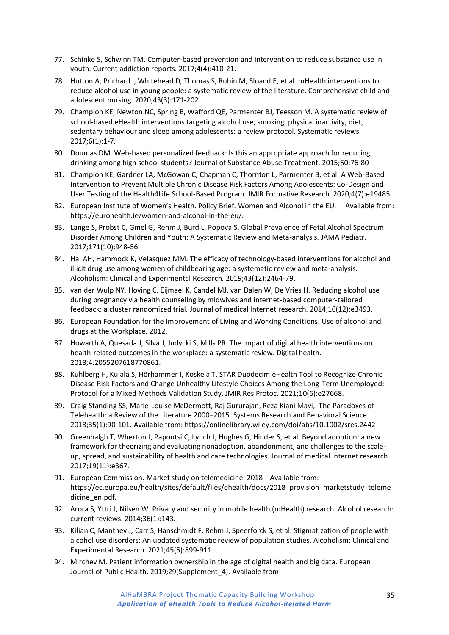- 77. Schinke S, Schwinn TM. Computer-based prevention and intervention to reduce substance use in youth. Current addiction reports. 2017;4(4):410-21.
- 78. Hutton A, Prichard I, Whitehead D, Thomas S, Rubin M, Sloand E, et al. mHealth interventions to reduce alcohol use in young people: a systematic review of the literature. Comprehensive child and adolescent nursing. 2020;43(3):171-202.
- 79. Champion KE, Newton NC, Spring B, Wafford QE, Parmenter BJ, Teesson M. A systematic review of school-based eHealth interventions targeting alcohol use, smoking, physical inactivity, diet, sedentary behaviour and sleep among adolescents: a review protocol. Systematic reviews. 2017;6(1):1-7.
- 80. Doumas DM. Web-based personalized feedback: Is this an appropriate approach for reducing drinking among high school students? Journal of Substance Abuse Treatment. 2015;50:76-80
- 81. Champion KE, Gardner LA, McGowan C, Chapman C, Thornton L, Parmenter B, et al. A Web-Based Intervention to Prevent Multiple Chronic Disease Risk Factors Among Adolescents: Co-Design and User Testing of the Health4Life School-Based Program. JMIR Formative Research. 2020;4(7):e19485.
- 82. European Institute of Women's Health. Policy Brief. Women and Alcohol in the EU. Available from: https://eurohealth.ie/women-and-alcohol-in-the-eu/.
- 83. Lange S, Probst C, Gmel G, Rehm J, Burd L, Popova S. Global Prevalence of Fetal Alcohol Spectrum Disorder Among Children and Youth: A Systematic Review and Meta-analysis. JAMA Pediatr. 2017;171(10):948-56.
- 84. Hai AH, Hammock K, Velasquez MM. The efficacy of technology-based interventions for alcohol and illicit drug use among women of childbearing age: a systematic review and meta-analysis. Alcoholism: Clinical and Experimental Research. 2019;43(12):2464-79.
- 85. van der Wulp NY, Hoving C, Eijmael K, Candel MJ, van Dalen W, De Vries H. Reducing alcohol use during pregnancy via health counseling by midwives and internet-based computer-tailored feedback: a cluster randomized trial. Journal of medical Internet research. 2014;16(12):e3493.
- 86. European Foundation for the Improvement of Living and Working Conditions. Use of alcohol and drugs at the Workplace. 2012.
- 87. Howarth A, Quesada J, Silva J, Judycki S, Mills PR. The impact of digital health interventions on health-related outcomes in the workplace: a systematic review. Digital health. 2018;4:2055207618770861.
- 88. Kuhlberg H, Kujala S, Hörhammer I, Koskela T. STAR Duodecim eHealth Tool to Recognize Chronic Disease Risk Factors and Change Unhealthy Lifestyle Choices Among the Long-Term Unemployed: Protocol for a Mixed Methods Validation Study. JMIR Res Protoc. 2021;10(6):e27668.
- 89. Craig Standing SS, Marie-Louise McDermott, Raj Gururajan, Reza Kiani Mavi,. The Paradoxes of Telehealth: a Review of the Literature 2000–2015. Systems Research and Behavioral Science. 2018;35(1):90-101. Available from: https://onlinelibrary.wiley.com/doi/abs/10.1002/sres.2442
- 90. Greenhalgh T, Wherton J, Papoutsi C, Lynch J, Hughes G, Hinder S, et al. Beyond adoption: a new framework for theorizing and evaluating nonadoption, abandonment, and challenges to the scaleup, spread, and sustainability of health and care technologies. Journal of medical Internet research. 2017;19(11):e367.
- 91. European Commission. Market study on telemedicine. 2018 Available from: https://ec.europa.eu/health/sites/default/files/ehealth/docs/2018\_provision\_marketstudy\_teleme dicine\_en.pdf.
- 92. Arora S, Yttri J, Nilsen W. Privacy and security in mobile health (mHealth) research. Alcohol research: current reviews. 2014;36(1):143.
- 93. Kilian C, Manthey J, Carr S, Hanschmidt F, Rehm J, Speerforck S, et al. Stigmatization of people with alcohol use disorders: An updated systematic review of population studies. Alcoholism: Clinical and Experimental Research. 2021;45(5):899-911.
- 94. Mirchev M. Patient information ownership in the age of digital health and big data. European Journal of Public Health. 2019;29(Supplement\_4). Available from: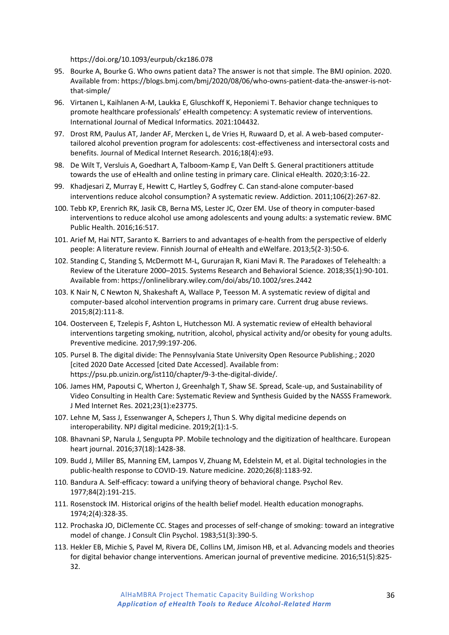https://doi.org/10.1093/eurpub/ckz186.078

- 95. Bourke A, Bourke G. Who owns patient data? The answer is not that simple. The BMJ opinion. 2020. Available from: https://blogs.bmj.com/bmj/2020/08/06/who-owns-patient-data-the-answer-is-notthat-simple/
- 96. Virtanen L, Kaihlanen A-M, Laukka E, Gluschkoff K, Heponiemi T. Behavior change techniques to promote healthcare professionals' eHealth competency: A systematic review of interventions. International Journal of Medical Informatics. 2021:104432.
- 97. Drost RM, Paulus AT, Jander AF, Mercken L, de Vries H, Ruwaard D, et al. A web-based computertailored alcohol prevention program for adolescents: cost-effectiveness and intersectoral costs and benefits. Journal of Medical Internet Research. 2016;18(4):e93.
- 98. De Wilt T, Versluis A, Goedhart A, Talboom-Kamp E, Van Delft S. General practitioners attitude towards the use of eHealth and online testing in primary care. Clinical eHealth. 2020;3:16-22.
- 99. Khadjesari Z, Murray E, Hewitt C, Hartley S, Godfrey C. Can stand-alone computer-based interventions reduce alcohol consumption? A systematic review. Addiction. 2011;106(2):267-82.
- 100. Tebb KP, Erenrich RK, Jasik CB, Berna MS, Lester JC, Ozer EM. Use of theory in computer-based interventions to reduce alcohol use among adolescents and young adults: a systematic review. BMC Public Health. 2016;16:517.
- 101. Arief M, Hai NTT, Saranto K. Barriers to and advantages of e‐health from the perspective of elderly people: A literature review. Finnish Journal of eHealth and eWelfare. 2013;5(2-3):50-6.
- 102. Standing C, Standing S, McDermott M-L, Gururajan R, Kiani Mavi R. The Paradoxes of Telehealth: a Review of the Literature 2000–2015. Systems Research and Behavioral Science. 2018;35(1):90-101. Available from: https://onlinelibrary.wiley.com/doi/abs/10.1002/sres.2442
- 103. K Nair N, C Newton N, Shakeshaft A, Wallace P, Teesson M. A systematic review of digital and computer-based alcohol intervention programs in primary care. Current drug abuse reviews. 2015;8(2):111-8.
- 104. Oosterveen E, Tzelepis F, Ashton L, Hutchesson MJ. A systematic review of eHealth behavioral interventions targeting smoking, nutrition, alcohol, physical activity and/or obesity for young adults. Preventive medicine. 2017;99:197-206.
- 105. Pursel B. The digital divide: The Pennsylvania State University Open Resource Publishing.; 2020 [cited 2020 Date Accessed [cited Date Accessed]. Available from: https://psu.pb.unizin.org/ist110/chapter/9-3-the-digital-divide/.
- 106. James HM, Papoutsi C, Wherton J, Greenhalgh T, Shaw SE. Spread, Scale-up, and Sustainability of Video Consulting in Health Care: Systematic Review and Synthesis Guided by the NASSS Framework. J Med Internet Res. 2021;23(1):e23775.
- 107. Lehne M, Sass J, Essenwanger A, Schepers J, Thun S. Why digital medicine depends on interoperability. NPJ digital medicine. 2019;2(1):1-5.
- 108. Bhavnani SP, Narula J, Sengupta PP. Mobile technology and the digitization of healthcare. European heart journal. 2016;37(18):1428-38.
- 109. Budd J, Miller BS, Manning EM, Lampos V, Zhuang M, Edelstein M, et al. Digital technologies in the public-health response to COVID-19. Nature medicine. 2020;26(8):1183-92.
- 110. Bandura A. Self-efficacy: toward a unifying theory of behavioral change. Psychol Rev. 1977;84(2):191-215.
- 111. Rosenstock IM. Historical origins of the health belief model. Health education monographs. 1974;2(4):328-35.
- 112. Prochaska JO, DiClemente CC. Stages and processes of self-change of smoking: toward an integrative model of change. J Consult Clin Psychol. 1983;51(3):390-5.
- 113. Hekler EB, Michie S, Pavel M, Rivera DE, Collins LM, Jimison HB, et al. Advancing models and theories for digital behavior change interventions. American journal of preventive medicine. 2016;51(5):825- 32.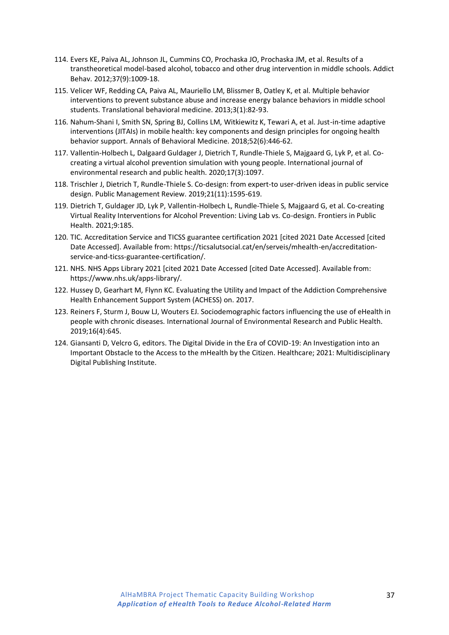- 114. Evers KE, Paiva AL, Johnson JL, Cummins CO, Prochaska JO, Prochaska JM, et al. Results of a transtheoretical model-based alcohol, tobacco and other drug intervention in middle schools. Addict Behav. 2012;37(9):1009-18.
- 115. Velicer WF, Redding CA, Paiva AL, Mauriello LM, Blissmer B, Oatley K, et al. Multiple behavior interventions to prevent substance abuse and increase energy balance behaviors in middle school students. Translational behavioral medicine. 2013;3(1):82-93.
- 116. Nahum-Shani I, Smith SN, Spring BJ, Collins LM, Witkiewitz K, Tewari A, et al. Just-in-time adaptive interventions (JITAIs) in mobile health: key components and design principles for ongoing health behavior support. Annals of Behavioral Medicine. 2018;52(6):446-62.
- 117. Vallentin-Holbech L, Dalgaard Guldager J, Dietrich T, Rundle-Thiele S, Majgaard G, Lyk P, et al. Cocreating a virtual alcohol prevention simulation with young people. International journal of environmental research and public health. 2020;17(3):1097.
- 118. Trischler J, Dietrich T, Rundle-Thiele S. Co-design: from expert-to user-driven ideas in public service design. Public Management Review. 2019;21(11):1595-619.
- 119. Dietrich T, Guldager JD, Lyk P, Vallentin-Holbech L, Rundle-Thiele S, Majgaard G, et al. Co-creating Virtual Reality Interventions for Alcohol Prevention: Living Lab vs. Co-design. Frontiers in Public Health. 2021;9:185.
- 120. TIC. Accreditation Service and TICSS guarantee certification 2021 [cited 2021 Date Accessed [cited Date Accessed]. Available from: https://ticsalutsocial.cat/en/serveis/mhealth-en/accreditationservice-and-ticss-guarantee-certification/.
- 121. NHS. NHS Apps Library 2021 [cited 2021 Date Accessed [cited Date Accessed]. Available from: https://www.nhs.uk/apps-library/.
- 122. Hussey D, Gearhart M, Flynn KC. Evaluating the Utility and Impact of the Addiction Comprehensive Health Enhancement Support System (ACHESS) on. 2017.
- 123. Reiners F, Sturm J, Bouw LJ, Wouters EJ. Sociodemographic factors influencing the use of eHealth in people with chronic diseases. International Journal of Environmental Research and Public Health. 2019;16(4):645.
- 124. Giansanti D, Velcro G, editors. The Digital Divide in the Era of COVID-19: An Investigation into an Important Obstacle to the Access to the mHealth by the Citizen. Healthcare; 2021: Multidisciplinary Digital Publishing Institute.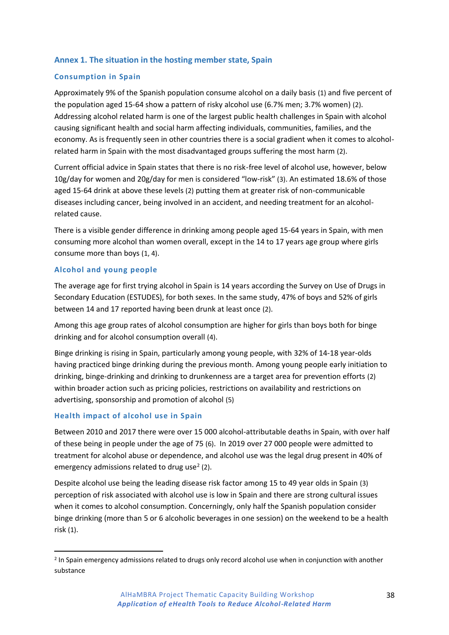## <span id="page-37-0"></span>**Annex 1. The situation in the hosting member state, Spain**

#### **Consumption in Spain**

Approximately 9% of the Spanish population consume alcohol on a daily basis (1) and five percent of the population aged 15-64 show a pattern of risky alcohol use (6.7% men; 3.7% women) (2). Addressing alcohol related harm is one of the largest public health challenges in Spain with alcohol causing significant health and social harm affecting individuals, communities, families, and the economy. As is frequently seen in other countries there is a social gradient when it comes to alcoholrelated harm in Spain with the most disadvantaged groups suffering the most harm (2).

Current official advice in Spain states that there is no risk-free level of alcohol use, however, below 10g/day for women and 20g/day for men is considered "low-risk" (3). An estimated 18.6% of those aged 15-64 drink at above these levels (2) putting them at greater risk of non-communicable diseases including cancer, being involved in an accident, and needing treatment for an alcoholrelated cause.

There is a visible gender difference in drinking among people aged 15-64 years in Spain, with men consuming more alcohol than women overall, except in the 14 to 17 years age group where girls consume more than boys (1, 4).

#### **Alcohol and young people**

The average age for first trying alcohol in Spain is 14 years according the Survey on Use of Drugs in Secondary Education (ESTUDES), for both sexes. In the same study, 47% of boys and 52% of girls between 14 and 17 reported having been drunk at least once (2).

Among this age group rates of alcohol consumption are higher for girls than boys both for binge drinking and for alcohol consumption overall (4).

Binge drinking is rising in Spain, particularly among young people, with 32% of 14-18 year-olds having practiced binge drinking during the previous month. Among young people early initiation to drinking, binge-drinking and drinking to drunkenness are a target area for prevention efforts (2) within broader action such as pricing policies, restrictions on availability and restrictions on advertising, sponsorship and promotion of alcohol (5)

#### **Health impact of alcohol use in Spain**

Between 2010 and 2017 there were over 15 000 alcohol-attributable deaths in Spain, with over half of these being in people under the age of 75 (6). In 2019 over 27 000 people were admitted to treatment for alcohol abuse or dependence, and alcohol use was the legal drug present in 40% of emergency admissions related to drug use<sup>2</sup> (2).

Despite alcohol use being the leading disease risk factor among 15 to 49 year olds in Spain (3) perception of risk associated with alcohol use is low in Spain and there are strong cultural issues when it comes to alcohol consumption. Concerningly, only half the Spanish population consider binge drinking (more than 5 or 6 alcoholic beverages in one session) on the weekend to be a health risk (1).

<sup>&</sup>lt;sup>2</sup> In Spain emergency admissions related to drugs only record alcohol use when in conjunction with another substance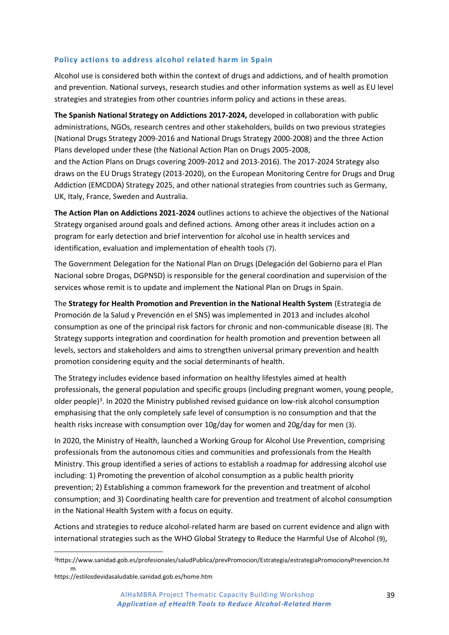#### **Policy actions to address alcohol related harm in Spain**

Alcohol use is considered both within the context of drugs and addictions, and of health promotion and prevention. National surveys, research studies and other information systems as well as EU level strategies and strategies from other countries inform policy and actions in these areas.

**The Spanish National Strategy on Addictions 2017-2024,** developed in collaboration with public administrations, NGOs, research centres and other stakeholders, builds on two previous strategies (National Drugs Strategy 2009-2016 and National Drugs Strategy 2000-2008) and the three Action Plans developed under these (the National Action Plan on Drugs 2005-2008,

and the Action Plans on Drugs covering 2009-2012 and 2013-2016). The 2017-2024 Strategy also draws on the EU Drugs Strategy (2013-2020), on the European Monitoring Centre for Drugs and Drug Addiction (EMCDDA) Strategy 2025, and other national strategies from countries such as Germany, UK, Italy, France, Sweden and Australia.

**The Action Plan on Addictions 2021-2024** outlines actions to achieve the objectives of the National Strategy organised around goals and defined actions. Among other areas it includes action on a program for early detection and brief intervention for alcohol use in health services and identification, evaluation and implementation of ehealth tools (7).

The Government Delegation for the National Plan on Drugs (Delegación del Gobierno para el Plan Nacional sobre Drogas, DGPNSD) is responsible for the general coordination and supervision of the services whose remit is to update and implement the National Plan on Drugs in Spain.

The **Strategy for Health Promotion and Prevention in the National Health System** (Estrategia de Promoción de la Salud y Prevención en el SNS) was implemented in 2013 and includes alcohol consumption as one of the principal risk factors for chronic and non-communicable disease (8). The Strategy supports integration and coordination for health promotion and prevention between all levels, sectors and stakeholders and aims to strengthen universal primary prevention and health promotion considering equity and the social determinants of health.

The Strategy includes evidence based information on healthy lifestyles aimed at health professionals, the general population and specific groups (including pregnant women, young people, older people)<sup>3</sup>. In 2020 the Ministry published revised guidance on low-risk alcohol consumption emphasising that the only completely safe level of consumption is no consumption and that the health risks increase with consumption over 10g/day for women and 20g/day for men (3).

In 2020, the Ministry of Health, launched a Working Group for Alcohol Use Prevention, comprising professionals from the autonomous cities and communities and professionals from the Health Ministry. This group identified a series of actions to establish a roadmap for addressing alcohol use including: 1) Promoting the prevention of alcohol consumption as a public health priority prevention; 2) Establishing a common framework for the prevention and treatment of alcohol consumption; and 3) Coordinating health care for prevention and treatment of alcohol consumption in the National Health System with a focus on equity.

Actions and strategies to reduce alcohol-related harm are based on current evidence and align with international strategies such as the WHO Global Strategy to Reduce the Harmful Use of Alcohol (9),

<sup>3</sup>https://www.sanidad.gob.es/profesionales/saludPublica/prevPromocion/Estrategia/estrategiaPromocionyPrevencion.ht m

https://estilosdevidasaludable.sanidad.gob.es/home.htm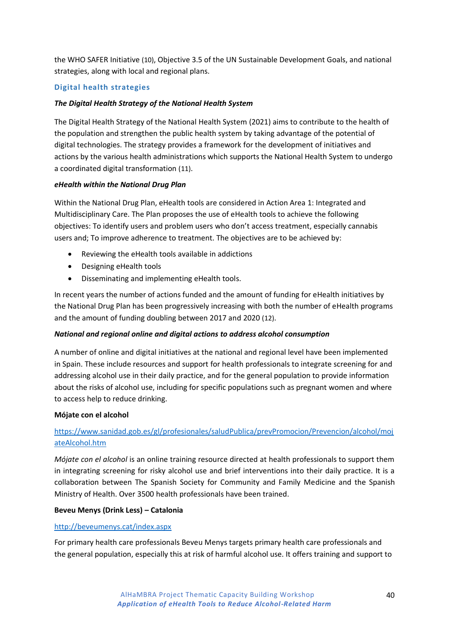the WHO SAFER Initiative (10), Objective 3.5 of the UN Sustainable Development Goals, and national strategies, along with local and regional plans.

## **Digital health strategies**

#### *The Digital Health Strategy of the National Health System*

The Digital Health Strategy of the National Health System (2021) aims to contribute to the health of the population and strengthen the public health system by taking advantage of the potential of digital technologies. The strategy provides a framework for the development of initiatives and actions by the various health administrations which supports the National Health System to undergo a coordinated digital transformation (11).

#### *eHealth within the National Drug Plan*

Within the National Drug Plan, eHealth tools are considered in Action Area 1: Integrated and Multidisciplinary Care. The Plan proposes the use of eHealth tools to achieve the following objectives: To identify users and problem users who don't access treatment, especially cannabis users and; To improve adherence to treatment. The objectives are to be achieved by:

- Reviewing the eHealth tools available in addictions
- Designing eHealth tools
- Disseminating and implementing eHealth tools.

In recent years the number of actions funded and the amount of funding for eHealth initiatives by the National Drug Plan has been progressively increasing with both the number of eHealth programs and the amount of funding doubling between 2017 and 2020 (12).

#### *National and regional online and digital actions to address alcohol consumption*

A number of online and digital initiatives at the national and regional level have been implemented in Spain. These include resources and support for health professionals to integrate screening for and addressing alcohol use in their daily practice, and for the general population to provide information about the risks of alcohol use, including for specific populations such as pregnant women and where to access help to reduce drinking.

#### **Mójate con el alcohol**

# [https://www.sanidad.gob.es/gl/profesionales/saludPublica/prevPromocion/Prevencion/alcohol/moj](https://www.sanidad.gob.es/gl/profesionales/saludPublica/prevPromocion/Prevencion/alcohol/mojateAlcohol.htm) [ateAlcohol.htm](https://www.sanidad.gob.es/gl/profesionales/saludPublica/prevPromocion/Prevencion/alcohol/mojateAlcohol.htm)

*Mójate con el alcohol* is an online training resource directed at health professionals to support them in integrating screening for risky alcohol use and brief interventions into their daily practice. It is a collaboration between The Spanish Society for Community and Family Medicine and the Spanish Ministry of Health. Over 3500 health professionals have been trained.

#### **Beveu Menys (Drink Less) – Catalonia**

#### <http://beveumenys.cat/index.aspx>

For primary health care professionals Beveu Menys targets primary health care professionals and the general population, especially this at risk of harmful alcohol use. It offers training and support to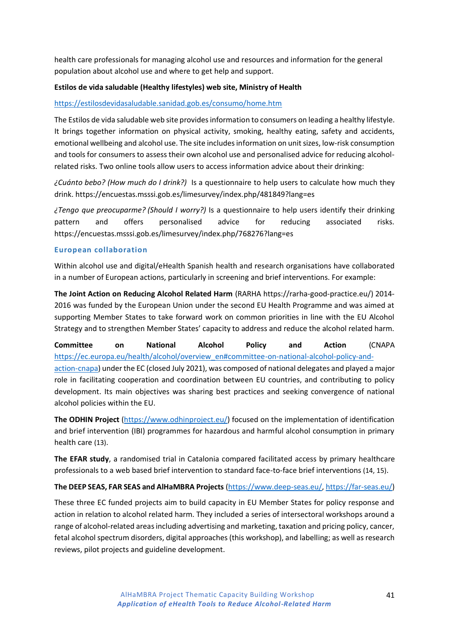health care professionals for managing alcohol use and resources and information for the general population about alcohol use and where to get help and support.

#### **Estilos de vida saludable (Healthy lifestyles) web site, Ministry of Health**

#### <https://estilosdevidasaludable.sanidad.gob.es/consumo/home.htm>

The Estilos de vida saludable web site provides information to consumers on leading a healthy lifestyle. It brings together information on physical activity, smoking, healthy eating, safety and accidents, emotional wellbeing and alcohol use. The site includes information on unit sizes, low-risk consumption and tools for consumers to assess their own alcohol use and personalised advice for reducing alcoholrelated risks. Two online tools allow users to access information advice about their drinking:

*¿Cuánto bebo? (How much do I drink?)* Is a questionnaire to help users to calculate how much they drink. https://encuestas.msssi.gob.es/limesurvey/index.php/481849?lang=es

*¿Tengo que preocuparme? (Should I worry?)* Is a questionnaire to help users identify their drinking pattern and offers personalised advice for reducing associated risks. https://encuestas.msssi.gob.es/limesurvey/index.php/768276?lang=es

#### **European collaboration**

Within alcohol use and digital/eHealth Spanish health and research organisations have collaborated in a number of European actions, particularly in screening and brief interventions. For example:

**The Joint Action on Reducing Alcohol Related Harm** (RARHA [https://rarha-good-practice.eu/\)](https://rarha-good-practice.eu/) 2014- 2016 was funded by the European Union under the second EU Health Programme and was aimed at supporting Member States to take forward work on common priorities in line with the EU Alcohol Strategy and to strengthen Member States' capacity to address and reduce the alcohol related harm.

**Committee on National Alcohol Policy and Action** (CNAPA [https://ec.europa.eu/health/alcohol/overview\\_en#committee-on-national-alcohol-policy-and](https://ec.europa.eu/health/alcohol/overview_en#committee-on-national-alcohol-policy-and-action-cnapa)[action-cnapa\)](https://ec.europa.eu/health/alcohol/overview_en#committee-on-national-alcohol-policy-and-action-cnapa) under the EC (closed July 2021), was composed of national delegates and played a major

role in facilitating cooperation and coordination between EU countries, and contributing to policy development. Its main objectives was sharing best practices and seeking convergence of national alcohol policies within the EU.

**The ODHIN Project** [\(https://www.odhinproject.eu/\)](https://www.odhinproject.eu/) focused on the implementation of identification and brief intervention (IBI) programmes for hazardous and harmful alcohol consumption in primary health care (13).

**The EFAR study**, a randomised trial in Catalonia compared facilitated access by primary healthcare professionals to a web based brief intervention to standard face-to-face brief interventions (14, 15).

#### **The DEEP SEAS, FAR SEAS and AlHaMBRA Projects** [\(https://www.deep-seas.eu/,](https://www.deep-seas.eu/) [https://far-seas.eu/\)](https://far-seas.eu/)

These three EC funded projects aim to build capacity in EU Member States for policy response and action in relation to alcohol related harm. They included a series of intersectoral workshops around a range of alcohol-related areas including advertising and marketing, taxation and pricing policy, cancer, fetal alcohol spectrum disorders, digital approaches (this workshop), and labelling; as well as research reviews, pilot projects and guideline development.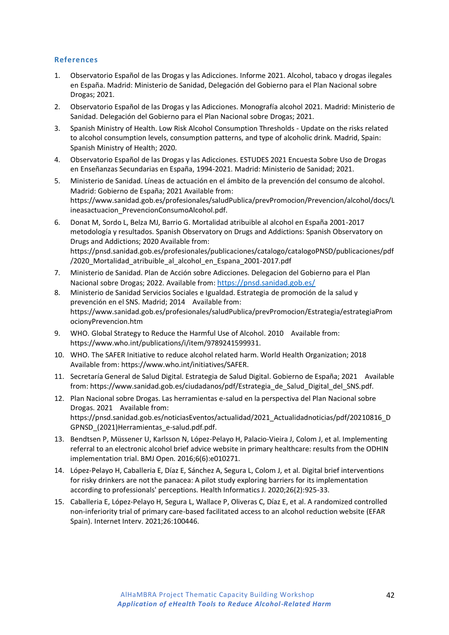#### **References**

- 1. Observatorio Español de las Drogas y las Adicciones. Informe 2021. Alcohol, tabaco y drogas ilegales en España. Madrid: Ministerio de Sanidad, Delegación del Gobierno para el Plan Nacional sobre Drogas; 2021.
- 2. Observatorio Español de las Drogas y las Adicciones. Monografía alcohol 2021. Madrid: Ministerio de Sanidad. Delegación del Gobierno para el Plan Nacional sobre Drogas; 2021.
- 3. Spanish Ministry of Health. Low Risk Alcohol Consumption Thresholds Update on the risks related to alcohol consumption levels, consumption patterns, and type of alcoholic drink. Madrid, Spain: Spanish Ministry of Health; 2020.
- 4. Observatorio Español de las Drogas y las Adicciones. ESTUDES 2021 Encuesta Sobre Uso de Drogas en Enseñanzas Secundarias en España, 1994-2021. Madrid: Ministerio de Sanidad; 2021.
- 5. Ministerio de Sanidad. Líneas de actuación en el ámbito de la prevención del consumo de alcohol. Madrid: Gobierno de España; 2021 Available from: https://www.sanidad.gob.es/profesionales/saludPublica/prevPromocion/Prevencion/alcohol/docs/L ineasactuacion\_PrevencionConsumoAlcohol.pdf.
- 6. Donat M, Sordo L, Belza MJ, Barrio G. Mortalidad atribuible al alcohol en España 2001-2017 metodología y resultados. Spanish Observatory on Drugs and Addictions: Spanish Observatory on Drugs and Addictions; 2020 Available from: https://pnsd.sanidad.gob.es/profesionales/publicaciones/catalogo/catalogoPNSD/publicaciones/pdf /2020\_Mortalidad\_atribuible\_al\_alcohol\_en\_Espana\_2001-2017.pdf
- 7. Ministerio de Sanidad. Plan de Acción sobre Adicciones. Delegacion del Gobierno para el Plan Nacional sobre Drogas; 2022. Available from: [https://pnsd.sanidad.gob.es/](https://webmail.clinic.cat/owa/redir.aspx?C=qHWF-BtXncDjeQQ8HbRZJjhosjI87clE-aMW2kXl0l0YEBNHyu_ZCA..&URL=https%3a%2f%2feu-central-1.protection.sophos.com%3fd%3dsanidad.gob.es%26u%3daHR0cHM6Ly9wbnNkLnNhbmlkYWQuZ29iLmVzLw%3d%3d%26i%3dNWZkYjRiODc3M2ZiN2EwZGZmZjA2NzE0%26t%3dZnNQeGJJTy9SZEplQ0czK2pZWGF0WndZWXlyckMrNFJIalFTakJ5Q1Uzdz0%3d%26h%3d5568ddf29c684ae297964eff05251093)
- 8. Ministerio de Sanidad Servicios Sociales e Igualdad. Estrategia de promoción de la salud y prevención en el SNS. Madrid; 2014 Available from: https://www.sanidad.gob.es/profesionales/saludPublica/prevPromocion/Estrategia/estrategiaProm ocionyPrevencion.htm
- 9. WHO. Global Strategy to Reduce the Harmful Use of Alcohol. 2010 Available from: https://www.who.int/publications/i/item/9789241599931.
- 10. WHO. The SAFER Initiative to reduce alcohol related harm. World Health Organization; 2018 Available from: https://www.who.int/initiatives/SAFER.
- 11. Secretaría General de Salud Digital. Estrategia de Salud Digital. Gobierno de España; 2021 Available from: https://www.sanidad.gob.es/ciudadanos/pdf/Estrategia\_de\_Salud\_Digital\_del\_SNS.pdf.
- 12. Plan Nacional sobre Drogas. Las herramientas e-salud en la perspectiva del Plan Nacional sobre Drogas. 2021 Available from: https://pnsd.sanidad.gob.es/noticiasEventos/actualidad/2021\_Actualidadnoticias/pdf/20210816\_D GPNSD\_(2021)Herramientas\_e-salud.pdf.pdf.
- 13. Bendtsen P, Müssener U, Karlsson N, López-Pelayo H, Palacio-Vieira J, Colom J, et al. Implementing referral to an electronic alcohol brief advice website in primary healthcare: results from the ODHIN implementation trial. BMJ Open. 2016;6(6):e010271.
- 14. López-Pelayo H, Caballeria E, Díaz E, Sánchez A, Segura L, Colom J, et al. Digital brief interventions for risky drinkers are not the panacea: A pilot study exploring barriers for its implementation according to professionals' perceptions. Health Informatics J. 2020;26(2):925-33.
- 15. Caballeria E, López-Pelayo H, Segura L, Wallace P, Oliveras C, Díaz E, et al. A randomized controlled non-inferiority trial of primary care-based facilitated access to an alcohol reduction website (EFAR Spain). Internet Interv. 2021;26:100446.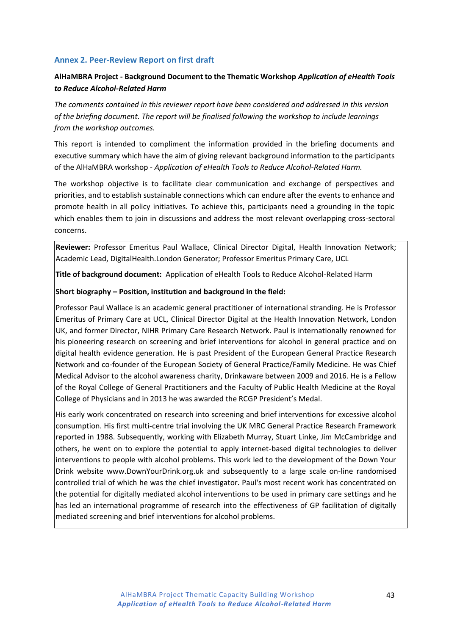#### <span id="page-42-0"></span>**Annex 2. Peer-Review Report on first draft**

# **AlHaMBRA Project - Background Document to the Thematic Workshop** *Application of eHealth Tools to Reduce Alcohol-Related Harm*

*The comments contained in this reviewer report have been considered and addressed in this version of the briefing document. The report will be finalised following the workshop to include learnings from the workshop outcomes.*

This report is intended to compliment the information provided in the briefing documents and executive summary which have the aim of giving relevant background information to the participants of the AlHaMBRA workshop - *Application of eHealth Tools to Reduce Alcohol-Related Harm.*

The workshop objective is to facilitate clear communication and exchange of perspectives and priorities, and to establish sustainable connections which can endure after the events to enhance and promote health in all policy initiatives. To achieve this, participants need a grounding in the topic which enables them to join in discussions and address the most relevant overlapping cross-sectoral concerns.

**Reviewer:** Professor Emeritus Paul Wallace, Clinical Director Digital, Health Innovation Network; Academic Lead, DigitalHealth.London Generator; Professor Emeritus Primary Care, UCL

**Title of background document:** Application of eHealth Tools to Reduce Alcohol-Related Harm

#### **Short biography – Position, institution and background in the field:**

Professor Paul Wallace is an academic general practitioner of international stranding. He is Professor Emeritus of Primary Care at UCL, Clinical Director Digital at the Health Innovation Network, London UK, and former Director, NIHR Primary Care Research Network. Paul is internationally renowned for his pioneering research on screening and brief interventions for alcohol in general practice and on digital health evidence generation. He is past President of the European General Practice Research Network and co-founder of the European Society of General Practice/Family Medicine. He was Chief Medical Advisor to the alcohol awareness charity, Drinkaware between 2009 and 2016. He is a Fellow of the Royal College of General Practitioners and the Faculty of Public Health Medicine at the Royal College of Physicians and in 2013 he was awarded the RCGP President's Medal.

His early work concentrated on research into screening and brief interventions for excessive alcohol consumption. His first multi-centre trial involving the UK MRC General Practice Research Framework reported in 1988. Subsequently, working with Elizabeth Murray, Stuart Linke, Jim McCambridge and others, he went on to explore the potential to apply internet-based digital technologies to deliver interventions to people with alcohol problems. This work led to the development of the Down Your Drink website [www.DownYourDrink.org.uk](http://www.downyourdrink.org.uk/) and subsequently to a large scale on-line randomised controlled trial of which he was the chief investigator. Paul's most recent work has concentrated on the potential for digitally mediated alcohol interventions to be used in primary care settings and he has led an international programme of research into the effectiveness of GP facilitation of digitally mediated screening and brief interventions for alcohol problems.